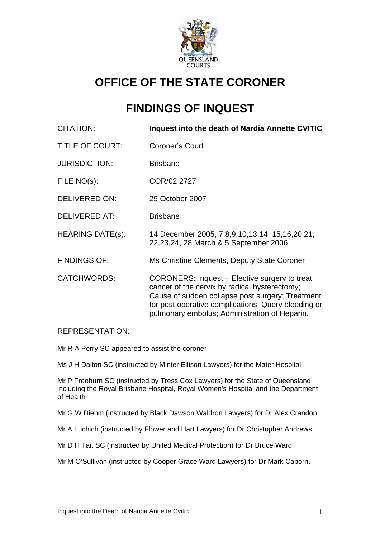

# **OFFICE OF THE STATE CORONER**

# **FINDINGS OF INQUEST**

| <b>CITATION:</b>        | Inquest into the death of Nardia Annette CVITIC                                                                                                                                                                                                            |
|-------------------------|------------------------------------------------------------------------------------------------------------------------------------------------------------------------------------------------------------------------------------------------------------|
| <b>TITLE OF COURT:</b>  | <b>Coroner's Court</b>                                                                                                                                                                                                                                     |
| <b>JURISDICTION:</b>    | <b>Brisbane</b>                                                                                                                                                                                                                                            |
| FILE NO(s):             | COR/02 2727                                                                                                                                                                                                                                                |
| DELIVERED ON:           | 29 October 2007                                                                                                                                                                                                                                            |
| <b>DELIVERED AT:</b>    | <b>Brisbane</b>                                                                                                                                                                                                                                            |
| <b>HEARING DATE(s):</b> | 14 December 2005, 7,8,9,10,13,14, 15,16,20,21,<br>22, 23, 24, 28 March & 5 September 2006                                                                                                                                                                  |
| <b>FINDINGS OF:</b>     | Ms Christine Clements, Deputy State Coroner                                                                                                                                                                                                                |
| <b>CATCHWORDS:</b>      | CORONERS: Inquest – Elective surgery to treat<br>cancer of the cervix by radical hysterectomy;<br>Cause of sudden collapse post surgery; Treatment<br>for post operative complications; Query bleeding or<br>pulmonary embolus; Administration of Heparin. |

#### REPRESENTATION:

Mr R A Perry SC appeared to assist the coroner

Ms J H Dalton SC (instructed by Minter Ellison Lawyers) for the Mater Hospital

Mr P Freeburn SC (instructed by Tress Cox Lawyers) for the State of Queensland including the Royal Brisbane Hospital, Royal Women's Hospital and the Department of Health

Mr G W Diehm (instructed by Black Dawson Waldron Lawyers) for Dr Alex Crandon

Mr A Luchich (instructed by Flower and Hart Lawyers) for Dr Christopher Andrews

Mr D H Tait SC (instructed by United Medical Protection) for Dr Bruce Ward

Mr M O'Sullivan (instructed by Cooper Grace Ward Lawyers) for Dr Mark Caporn.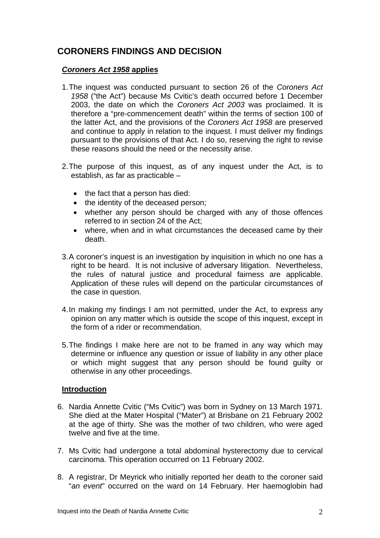## **CORONERS FINDINGS AND DECISION**

#### *Coroners Act 1958* **applies**

- 1. The inquest was conducted pursuant to section 26 of the *Coroners Act 1958* ("the Act") because Ms Cvitic's death occurred before 1 December 2003, the date on which the *Coroners Act 2003* was proclaimed. It is therefore a "pre-commencement death" within the terms of section 100 of the latter Act, and the provisions of the *Coroners Act 1958* are preserved and continue to apply in relation to the inquest. I must deliver my findings pursuant to the provisions of that Act. I do so, reserving the right to revise these reasons should the need or the necessity arise.
- 2. The purpose of this inquest, as of any inquest under the Act, is to establish, as far as practicable –
	- the fact that a person has died:
	- the identity of the deceased person;
	- whether any person should be charged with any of those offences referred to in section 24 of the Act;
	- where, when and in what circumstances the deceased came by their death.
- 3. A coroner's inquest is an investigation by inquisition in which no one has a right to be heard. It is not inclusive of adversary litigation. Nevertheless, the rules of natural justice and procedural fairness are applicable. Application of these rules will depend on the particular circumstances of the case in question.
- 4. In making my findings I am not permitted, under the Act, to express any opinion on any matter which is outside the scope of this inquest, except in the form of a rider or recommendation.
- 5. The findings I make here are not to be framed in any way which may determine or influence any question or issue of liability in any other place or which might suggest that any person should be found guilty or otherwise in any other proceedings.

#### **Introduction**

- 6. Nardia Annette Cvitic ("Ms Cvitic") was born in Sydney on 13 March 1971. She died at the Mater Hospital ("Mater") at Brisbane on 21 February 2002 at the age of thirty. She was the mother of two children, who were aged twelve and five at the time.
- 7. Ms Cvitic had undergone a total abdominal hysterectomy due to cervical carcinoma. This operation occurred on 11 February 2002.
- 8. A registrar, Dr Meyrick who initially reported her death to the coroner said "*an event*" occurred on the ward on 14 February. Her haemoglobin had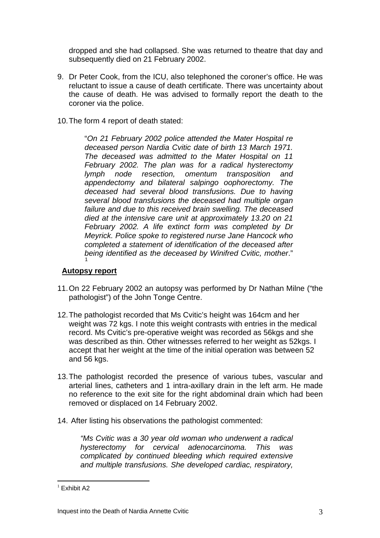dropped and she had collapsed. She was returned to theatre that day and subsequently died on 21 February 2002.

- 9. Dr Peter Cook, from the ICU, also telephoned the coroner's office. He was reluctant to issue a cause of death certificate. There was uncertainty about the cause of death. He was advised to formally report the death to the coroner via the police.
- 10. The form 4 report of death stated:

"*On 21 February 2002 police attended the Mater Hospital re deceased person Nardia Cvitic date of birth 13 March 1971. The deceased was admitted to the Mater Hospital on 11 February 2002. The plan was for a radical hysterectomy lymph node resection, omentum transposition and appendectomy and bilateral salpingo oophorectomy. The deceased had several blood transfusions. Due to having several blood transfusions the deceased had multiple organ failure and due to this received brain swelling. The deceased died at the intensive care unit at approximately 13.20 on 21 February 2002. A life extinct form was completed by Dr Meyrick. Police spoke to registered nurse Jane Hancock who completed a statement of identification of the deceased after being identified as the deceased by Winifred Cvitic, mother*." [1](#page-2-0)

#### **Autopsy report**

- 11. On 22 February 2002 an autopsy was performed by Dr Nathan Milne ("the pathologist") of the John Tonge Centre.
- 12. The pathologist recorded that Ms Cvitic's height was 164cm and her weight was 72 kgs. I note this weight contrasts with entries in the medical record. Ms Cvitic's pre-operative weight was recorded as 56kgs and she was described as thin. Other witnesses referred to her weight as 52kgs. I accept that her weight at the time of the initial operation was between 52 and 56 kgs.
- 13. The pathologist recorded the presence of various tubes, vascular and arterial lines, catheters and 1 intra-axillary drain in the left arm. He made no reference to the exit site for the right abdominal drain which had been removed or displaced on 14 February 2002.
- 14. After listing his observations the pathologist commented:

*"Ms Cvitic was a 30 year old woman who underwent a radical hysterectomy for cervical adenocarcinoma. This was complicated by continued bleeding which required extensive and multiple transfusions. She developed cardiac, respiratory,* 

<span id="page-2-0"></span> $<sup>1</sup>$  Exhibit A2</sup>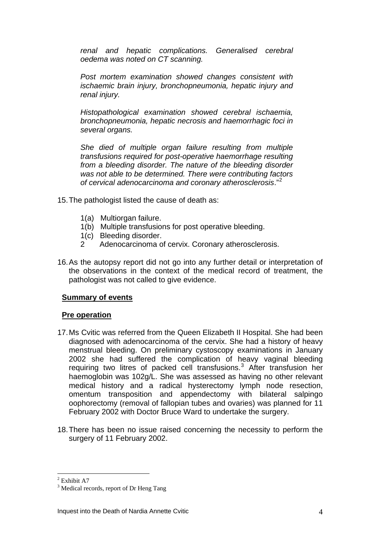*renal and hepatic complications. Generalised cerebral oedema was noted on CT scanning.* 

*Post mortem examination showed changes consistent with ischaemic brain injury, bronchopneumonia, hepatic injury and renal injury.* 

*Histopathological examination showed cerebral ischaemia, bronchopneumonia, hepatic necrosis and haemorrhagic foci in several organs.* 

*She died of multiple organ failure resulting from multiple transfusions required for post-operative haemorrhage resulting from a bleeding disorder. The nature of the bleeding disorder was not able to be determined. There were contributing factors of cervical adenocarcinoma and coronary atherosclerosis*."[2](#page-3-0)

- 15. The pathologist listed the cause of death as:
	- 1(a) Multiorgan failure.
	- 1(b) Multiple transfusions for post operative bleeding.
	- 1(c) Bleeding disorder.
	- 2 Adenocarcinoma of cervix. Coronary atherosclerosis.
- 16. As the autopsy report did not go into any further detail or interpretation of the observations in the context of the medical record of treatment, the pathologist was not called to give evidence.

#### **Summary of events**

#### **Pre operation**

- 17. Ms Cvitic was referred from the Queen Elizabeth II Hospital. She had been diagnosed with adenocarcinoma of the cervix. She had a history of heavy menstrual bleeding. On preliminary cystoscopy examinations in January 2002 she had suffered the complication of heavy vaginal bleeding requiring two litres of packed cell transfusions.<sup>[3](#page-3-1)</sup> After transfusion her haemoglobin was 102g/L. She was assessed as having no other relevant medical history and a radical hysterectomy lymph node resection, omentum transposition and appendectomy with bilateral salpingo oophorectomy (removal of fallopian tubes and ovaries) was planned for 11 February 2002 with Doctor Bruce Ward to undertake the surgery.
- 18. There has been no issue raised concerning the necessity to perform the surgery of 11 February 2002.

<sup>&</sup>lt;sup>2</sup> Exhibit A7

<span id="page-3-1"></span><span id="page-3-0"></span><sup>&</sup>lt;sup>3</sup> Medical records, report of Dr Heng Tang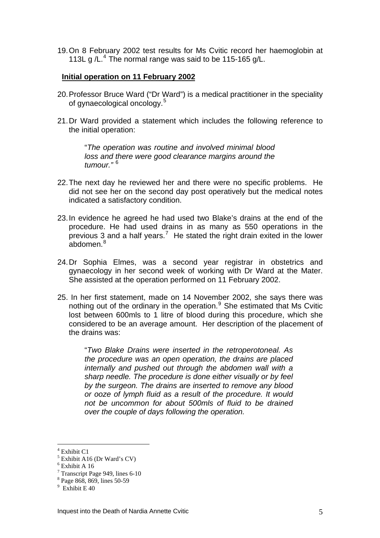19. On 8 February 2002 test results for Ms Cvitic record her haemoglobin at 113L g /L.<sup>[4](#page-4-0)</sup> The normal range was said to be 115-165 g/L.

#### **Initial operation on 11 February 2002**

- 20. Professor Bruce Ward ("Dr Ward") is a medical practitioner in the speciality of gynaecological oncology.<sup>[5](#page-4-1)</sup>
- 21. Dr Ward provided a statement which includes the following reference to the initial operation:

"*The operation was routine and involved minimal blood loss and there were good clearance margins around the tumour."* [6](#page-4-2)

- 22. The next day he reviewed her and there were no specific problems. He did not see her on the second day post operatively but the medical notes indicated a satisfactory condition.
- 23. In evidence he agreed he had used two Blake's drains at the end of the procedure. He had used drains in as many as 550 operations in the previous 3 and a half years.<sup>[7](#page-4-3)</sup> He stated the right drain exited in the lower .<br>abdomen.<sup>[8](#page-4-4)</sup>
- 24. Dr Sophia Elmes, was a second year registrar in obstetrics and gynaecology in her second week of working with Dr Ward at the Mater. She assisted at the operation performed on 11 February 2002.
- 25. In her first statement, made on 14 November 2002, she says there was nothing out of the ordinary in the operation.<sup>[9](#page-4-5)</sup> She estimated that Ms Cvitic lost between 600mls to 1 litre of blood during this procedure, which she considered to be an average amount. Her description of the placement of the drains was:

"*Two Blake Drains were inserted in the retroperotoneal. As the procedure was an open operation, the drains are placed internally and pushed out through the abdomen wall with a sharp needle. The procedure is done either visually or by feel by the surgeon. The drains are inserted to remove any blood or ooze of lymph fluid as a result of the procedure. It would not be uncommon for about 500mls of fluid to be drained over the couple of days following the operation.* 

<span id="page-4-0"></span><sup>4</sup> Exhibit C1

<span id="page-4-1"></span> $<sup>5</sup>$  Exhibit A16 (Dr Ward's CV)</sup>

<span id="page-4-2"></span><sup>6</sup> Exhibit A 16

<span id="page-4-3"></span><sup>&</sup>lt;sup>7</sup> Transcript Page 949, lines 6-10

<span id="page-4-4"></span><sup>8</sup> Page 868, 869, lines 50-59

<span id="page-4-5"></span><sup>9</sup> Exhibit E 40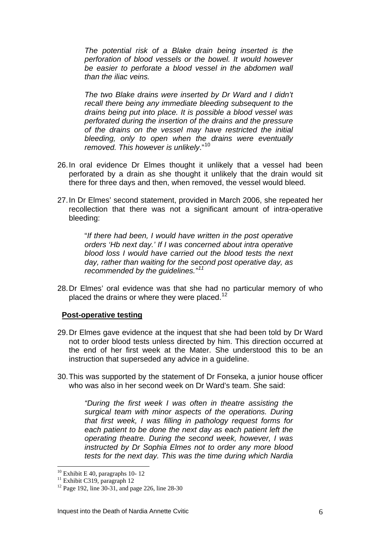*The potential risk of a Blake drain being inserted is the perforation of blood vessels or the bowel. It would however be easier to perforate a blood vessel in the abdomen wall than the iliac veins.* 

*The two Blake drains were inserted by Dr Ward and I didn't recall there being any immediate bleeding subsequent to the drains being put into place. It is possible a blood vessel was perforated during the insertion of the drains and the pressure of the drains on the vessel may have restricted the initial bleeding, only to open when the drains were eventually removed. This however is unlikely*."[10](#page-5-0)

- 26. In oral evidence Dr Elmes thought it unlikely that a vessel had been perforated by a drain as she thought it unlikely that the drain would sit there for three days and then, when removed, the vessel would bleed.
- 27. In Dr Elmes' second statement, provided in March 2006, she repeated her recollection that there was not a significant amount of intra-operative bleeding:

"*If there had been, I would have written in the post operative orders 'Hb next day.' If I was concerned about intra operative blood loss I would have carried out the blood tests the next day, rather than waiting for the second post operative day, as recommended by the guidelines."[11](#page-5-1)* 

28. Dr Elmes' oral evidence was that she had no particular memory of who placed the drains or where they were placed.<sup>[12](#page-5-2)</sup>

#### **Post-operative testing**

- 29. Dr Elmes gave evidence at the inquest that she had been told by Dr Ward not to order blood tests unless directed by him. This direction occurred at the end of her first week at the Mater. She understood this to be an instruction that superseded any advice in a guideline.
- 30. This was supported by the statement of Dr Fonseka, a junior house officer who was also in her second week on Dr Ward's team. She said:

*"During the first week I was often in theatre assisting the surgical team with minor aspects of the operations. During that first week, I was filling in pathology request forms for each patient to be done the next day as each patient left the operating theatre. During the second week, however, I was instructed by Dr Sophia Elmes not to order any more blood tests for the next day. This was the time during which Nardia* 

 $10$  Exhibit E 40, paragraphs 10-12

<span id="page-5-1"></span><span id="page-5-0"></span> $11$  Exhibit C319, paragraph 12

<span id="page-5-2"></span> $12$  Page 192, line 30-31, and page 226, line 28-30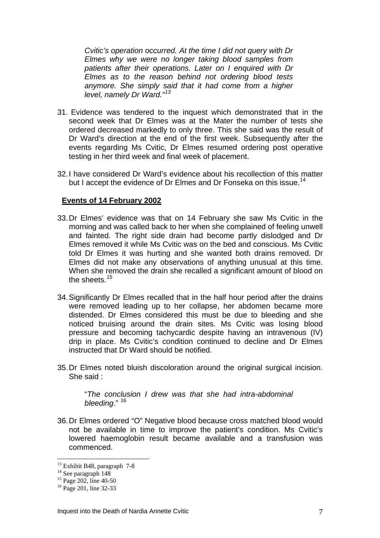*Cvitic's operation occurred. At the time I did not query with Dr Elmes why we were no longer taking blood samples from patients after their operations. Later on I enquired with Dr Elmes as to the reason behind not ordering blood tests anymore. She simply said that it had come from a higher level, namely Dr Ward."[13](#page-6-0)* 

- 31. Evidence was tendered to the inquest which demonstrated that in the second week that Dr Elmes was at the Mater the number of tests she ordered decreased markedly to only three. This she said was the result of Dr Ward's direction at the end of the first week. Subsequently after the events regarding Ms Cvitic, Dr Elmes resumed ordering post operative testing in her third week and final week of placement.
- 32. I have considered Dr Ward's evidence about his recollection of this matter but I accept the evidence of Dr Elmes and Dr Fonseka on this issue.<sup>[14](#page-6-1)</sup>

#### **Events of 14 February 2002**

- 33. Dr Elmes' evidence was that on 14 February she saw Ms Cvitic in the morning and was called back to her when she complained of feeling unwell and fainted. The right side drain had become partly dislodged and Dr Elmes removed it while Ms Cvitic was on the bed and conscious. Ms Cvitic told Dr Elmes it was hurting and she wanted both drains removed. Dr Elmes did not make any observations of anything unusual at this time. When she removed the drain she recalled a significant amount of blood on the sheets  $15$
- 34. Significantly Dr Elmes recalled that in the half hour period after the drains were removed leading up to her collapse, her abdomen became more distended. Dr Elmes considered this must be due to bleeding and she noticed bruising around the drain sites. Ms Cvitic was losing blood pressure and becoming tachycardic despite having an intravenous (IV) drip in place. Ms Cvitic's condition continued to decline and Dr Elmes instructed that Dr Ward should be notified.
- 35. Dr Elmes noted bluish discoloration around the original surgical incision. She said :

"*The conclusion I drew was that she had intra-abdominal bleeding*." [16](#page-6-3)

36. Dr Elmes ordered "O" Negative blood because cross matched blood would not be available in time to improve the patient's condition. Ms Cvitic's lowered haemoglobin result became available and a transfusion was commenced.

<span id="page-6-0"></span><sup>13</sup> Exhibit B48, paragraph 7-8

<span id="page-6-1"></span> $14$  See paragraph 148

<span id="page-6-2"></span> $15$  Page 202, line 40-50

<span id="page-6-3"></span><sup>&</sup>lt;sup>16</sup> Page 201, line 32-33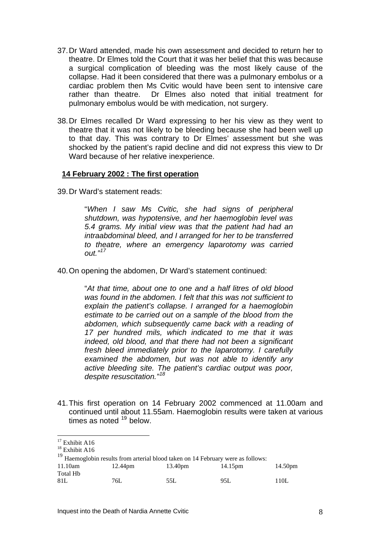- 37. Dr Ward attended, made his own assessment and decided to return her to theatre. Dr Elmes told the Court that it was her belief that this was because a surgical complication of bleeding was the most likely cause of the collapse. Had it been considered that there was a pulmonary embolus or a cardiac problem then Ms Cvitic would have been sent to intensive care rather than theatre. Dr Elmes also noted that initial treatment for pulmonary embolus would be with medication, not surgery.
- 38. Dr Elmes recalled Dr Ward expressing to her his view as they went to theatre that it was not likely to be bleeding because she had been well up to that day. This was contrary to Dr Elmes' assessment but she was shocked by the patient's rapid decline and did not express this view to Dr Ward because of her relative inexperience.

#### **14 February 2002 : The first operation**

39. Dr Ward's statement reads:

"*When I saw Ms Cvitic, she had signs of peripheral shutdown, was hypotensive, and her haemoglobin level was 5.4 grams. My initial view was that the patient had had an intraabdominal bleed, and I arranged for her to be transferred to theatre, where an emergency laparotomy was carried out."[17](#page-7-0)*

40. On opening the abdomen, Dr Ward's statement continued:

"*At that time, about one to one and a half litres of old blood was found in the abdomen. I felt that this was not sufficient to explain the patient's collapse. I arranged for a haemoglobin estimate to be carried out on a sample of the blood from the abdomen, which subsequently came back with a reading of 17 per hundred mils, which indicated to me that it was indeed, old blood, and that there had not been a significant fresh bleed immediately prior to the laparotomy. I carefully examined the abdomen, but was not able to identify any active bleeding site. The patient's cardiac output was poor, despite resuscitation."[18](#page-7-1)*

41. This first operation on 14 February 2002 commenced at 11.00am and continued until about 11.55am. Haemoglobin results were taken at various times as noted  $19$  below.

<span id="page-7-1"></span><span id="page-7-0"></span><sup>&</sup>lt;sup>18</sup> Exhibit A16

<span id="page-7-2"></span>

| $^{19}$ Haemoglobin results from arterial blood taken on 14 February were as follows: |         |         |         |         |  |
|---------------------------------------------------------------------------------------|---------|---------|---------|---------|--|
| 11.10am                                                                               | 12.44pm | 13.40pm | 14.15pm | 14.50pm |  |
| Total Hb                                                                              |         |         |         |         |  |
| 81L                                                                                   | 76L -   | 55L     | 95L     | 110L    |  |

<sup>&</sup>lt;sup>17</sup> Exhibit A16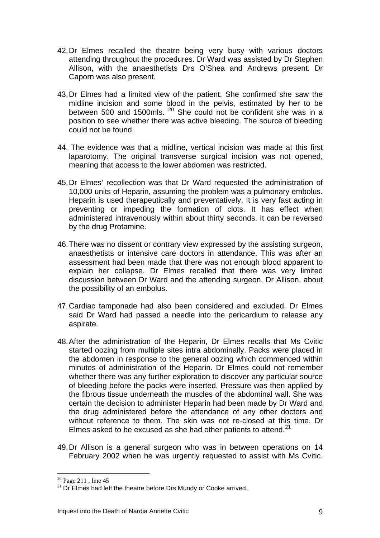- 42. Dr Elmes recalled the theatre being very busy with various doctors attending throughout the procedures. Dr Ward was assisted by Dr Stephen Allison, with the anaesthetists Drs O'Shea and Andrews present. Dr Caporn was also present.
- 43. Dr Elmes had a limited view of the patient. She confirmed she saw the midline incision and some blood in the pelvis, estimated by her to be between 500 and 1500mls. <sup>[20](#page-8-0)</sup> She could not be confident she was in a position to see whether there was active bleeding. The source of bleeding could not be found.
- 44. The evidence was that a midline, vertical incision was made at this first laparotomy. The original transverse surgical incision was not opened, meaning that access to the lower abdomen was restricted.
- 45. Dr Elmes' recollection was that Dr Ward requested the administration of 10,000 units of Heparin, assuming the problem was a pulmonary embolus. Heparin is used therapeutically and preventatively. It is very fast acting in preventing or impeding the formation of clots. It has effect when administered intravenously within about thirty seconds. It can be reversed by the drug Protamine.
- 46. There was no dissent or contrary view expressed by the assisting surgeon, anaesthetists or intensive care doctors in attendance. This was after an assessment had been made that there was not enough blood apparent to explain her collapse. Dr Elmes recalled that there was very limited discussion between Dr Ward and the attending surgeon, Dr Allison, about the possibility of an embolus.
- 47. Cardiac tamponade had also been considered and excluded. Dr Elmes said Dr Ward had passed a needle into the pericardium to release any aspirate.
- 48. After the administration of the Heparin, Dr Elmes recalls that Ms Cvitic started oozing from multiple sites intra abdominally. Packs were placed in the abdomen in response to the general oozing which commenced within minutes of administration of the Heparin. Dr Elmes could not remember whether there was any further exploration to discover any particular source of bleeding before the packs were inserted. Pressure was then applied by the fibrous tissue underneath the muscles of the abdominal wall. She was certain the decision to administer Heparin had been made by Dr Ward and the drug administered before the attendance of any other doctors and without reference to them. The skin was not re-closed at this time. Dr Elmes asked to be excused as she had other patients to attend. $21$
- 49. Dr Allison is a general surgeon who was in between operations on 14 February 2002 when he was urgently requested to assist with Ms Cvitic.

<span id="page-8-0"></span> $20$  Page 211, line 45

<span id="page-8-1"></span> $21$  Dr Elmes had left the theatre before Drs Mundy or Cooke arrived.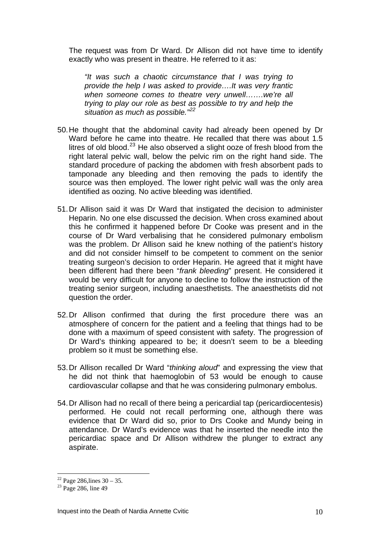The request was from Dr Ward. Dr Allison did not have time to identify exactly who was present in theatre. He referred to it as:

*"It was such a chaotic circumstance that I was trying to provide the help I was asked to provide….It was very frantic when someone comes to theatre very unwell…….we're all trying to play our role as best as possible to try and help the situation as much as possible."[22](#page-9-0)*

- 50. He thought that the abdominal cavity had already been opened by Dr Ward before he came into theatre. He recalled that there was about 1.5 litres of old blood. $^{23}$  $^{23}$  $^{23}$  He also observed a slight ooze of fresh blood from the right lateral pelvic wall, below the pelvic rim on the right hand side. The standard procedure of packing the abdomen with fresh absorbent pads to tamponade any bleeding and then removing the pads to identify the source was then employed. The lower right pelvic wall was the only area identified as oozing. No active bleeding was identified.
- 51. Dr Allison said it was Dr Ward that instigated the decision to administer Heparin. No one else discussed the decision. When cross examined about this he confirmed it happened before Dr Cooke was present and in the course of Dr Ward verbalising that he considered pulmonary embolism was the problem. Dr Allison said he knew nothing of the patient's history and did not consider himself to be competent to comment on the senior treating surgeon's decision to order Heparin. He agreed that it might have been different had there been "*frank bleeding*" present. He considered it would be very difficult for anyone to decline to follow the instruction of the treating senior surgeon, including anaesthetists. The anaesthetists did not question the order.
- 52. Dr Allison confirmed that during the first procedure there was an atmosphere of concern for the patient and a feeling that things had to be done with a maximum of speed consistent with safety. The progression of Dr Ward's thinking appeared to be; it doesn't seem to be a bleeding problem so it must be something else.
- 53. Dr Allison recalled Dr Ward "*thinking aloud*" and expressing the view that he did not think that haemoglobin of 53 would be enough to cause cardiovascular collapse and that he was considering pulmonary embolus.
- 54. Dr Allison had no recall of there being a pericardial tap (pericardiocentesis) performed. He could not recall performing one, although there was evidence that Dr Ward did so, prior to Drs Cooke and Mundy being in attendance. Dr Ward's evidence was that he inserted the needle into the pericardiac space and Dr Allison withdrew the plunger to extract any aspirate.

<span id="page-9-0"></span> $22$  Page 286, lines  $30 - 35$ .

<span id="page-9-1"></span> $23$  Page 286, line 49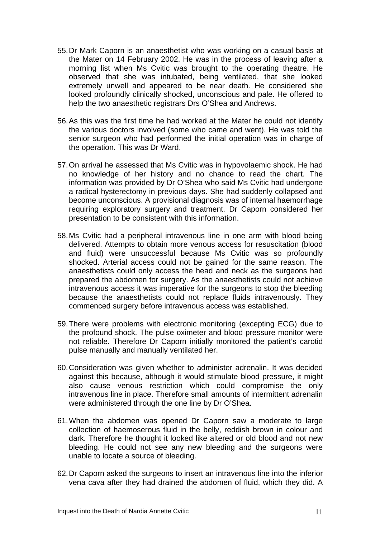- 55. Dr Mark Caporn is an anaesthetist who was working on a casual basis at the Mater on 14 February 2002. He was in the process of leaving after a morning list when Ms Cvitic was brought to the operating theatre. He observed that she was intubated, being ventilated, that she looked extremely unwell and appeared to be near death. He considered she looked profoundly clinically shocked, unconscious and pale. He offered to help the two anaesthetic registrars Drs O'Shea and Andrews.
- 56. As this was the first time he had worked at the Mater he could not identify the various doctors involved (some who came and went). He was told the senior surgeon who had performed the initial operation was in charge of the operation. This was Dr Ward.
- 57. On arrival he assessed that Ms Cvitic was in hypovolaemic shock. He had no knowledge of her history and no chance to read the chart. The information was provided by Dr O'Shea who said Ms Cvitic had undergone a radical hysterectomy in previous days. She had suddenly collapsed and become unconscious. A provisional diagnosis was of internal haemorrhage requiring exploratory surgery and treatment. Dr Caporn considered her presentation to be consistent with this information.
- 58. Ms Cvitic had a peripheral intravenous line in one arm with blood being delivered. Attempts to obtain more venous access for resuscitation (blood and fluid) were unsuccessful because Ms Cvitic was so profoundly shocked. Arterial access could not be gained for the same reason. The anaesthetists could only access the head and neck as the surgeons had prepared the abdomen for surgery. As the anaesthetists could not achieve intravenous access it was imperative for the surgeons to stop the bleeding because the anaesthetists could not replace fluids intravenously. They commenced surgery before intravenous access was established.
- 59. There were problems with electronic monitoring (excepting ECG) due to the profound shock. The pulse oximeter and blood pressure monitor were not reliable. Therefore Dr Caporn initially monitored the patient's carotid pulse manually and manually ventilated her.
- 60. Consideration was given whether to administer adrenalin. It was decided against this because, although it would stimulate blood pressure, it might also cause venous restriction which could compromise the only intravenous line in place. Therefore small amounts of intermittent adrenalin were administered through the one line by Dr O'Shea.
- 61. When the abdomen was opened Dr Caporn saw a moderate to large collection of haemoserous fluid in the belly, reddish brown in colour and dark. Therefore he thought it looked like altered or old blood and not new bleeding. He could not see any new bleeding and the surgeons were unable to locate a source of bleeding.
- 62. Dr Caporn asked the surgeons to insert an intravenous line into the inferior vena cava after they had drained the abdomen of fluid, which they did. A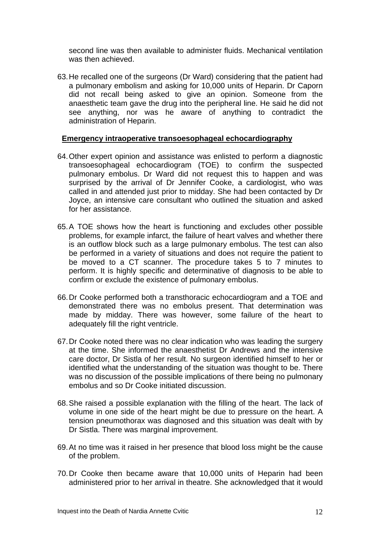second line was then available to administer fluids. Mechanical ventilation was then achieved.

63. He recalled one of the surgeons (Dr Ward) considering that the patient had a pulmonary embolism and asking for 10,000 units of Heparin. Dr Caporn did not recall being asked to give an opinion. Someone from the anaesthetic team gave the drug into the peripheral line. He said he did not see anything, nor was he aware of anything to contradict the administration of Heparin.

#### **Emergency intraoperative transoesophageal echocardiography**

- 64. Other expert opinion and assistance was enlisted to perform a diagnostic transoesophageal echocardiogram (TOE) to confirm the suspected pulmonary embolus. Dr Ward did not request this to happen and was surprised by the arrival of Dr Jennifer Cooke, a cardiologist, who was called in and attended just prior to midday. She had been contacted by Dr Joyce, an intensive care consultant who outlined the situation and asked for her assistance.
- 65. A TOE shows how the heart is functioning and excludes other possible problems, for example infarct, the failure of heart valves and whether there is an outflow block such as a large pulmonary embolus. The test can also be performed in a variety of situations and does not require the patient to be moved to a CT scanner. The procedure takes 5 to 7 minutes to perform. It is highly specific and determinative of diagnosis to be able to confirm or exclude the existence of pulmonary embolus.
- 66. Dr Cooke performed both a transthoracic echocardiogram and a TOE and demonstrated there was no embolus present. That determination was made by midday. There was however, some failure of the heart to adequately fill the right ventricle.
- 67. Dr Cooke noted there was no clear indication who was leading the surgery at the time. She informed the anaesthetist Dr Andrews and the intensive care doctor, Dr Sistla of her result. No surgeon identified himself to her or identified what the understanding of the situation was thought to be. There was no discussion of the possible implications of there being no pulmonary embolus and so Dr Cooke initiated discussion.
- 68. She raised a possible explanation with the filling of the heart. The lack of volume in one side of the heart might be due to pressure on the heart. A tension pneumothorax was diagnosed and this situation was dealt with by Dr Sistla. There was marginal improvement.
- 69. At no time was it raised in her presence that blood loss might be the cause of the problem.
- 70. Dr Cooke then became aware that 10,000 units of Heparin had been administered prior to her arrival in theatre. She acknowledged that it would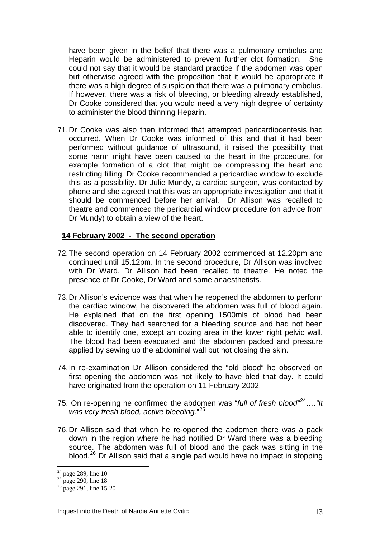have been given in the belief that there was a pulmonary embolus and Heparin would be administered to prevent further clot formation. She could not say that it would be standard practice if the abdomen was open but otherwise agreed with the proposition that it would be appropriate if there was a high degree of suspicion that there was a pulmonary embolus. If however, there was a risk of bleeding, or bleeding already established, Dr Cooke considered that you would need a very high degree of certainty to administer the blood thinning Heparin.

71. Dr Cooke was also then informed that attempted pericardiocentesis had occurred. When Dr Cooke was informed of this and that it had been performed without guidance of ultrasound, it raised the possibility that some harm might have been caused to the heart in the procedure, for example formation of a clot that might be compressing the heart and restricting filling. Dr Cooke recommended a pericardiac window to exclude this as a possibility. Dr Julie Mundy, a cardiac surgeon, was contacted by phone and she agreed that this was an appropriate investigation and that it should be commenced before her arrival. Dr Allison was recalled to theatre and commenced the pericardial window procedure (on advice from Dr Mundy) to obtain a view of the heart.

#### **14 February 2002 - The second operation**

- 72. The second operation on 14 February 2002 commenced at 12.20pm and continued until 15.12pm. In the second procedure, Dr Allison was involved with Dr Ward. Dr Allison had been recalled to theatre. He noted the presence of Dr Cooke, Dr Ward and some anaesthetists.
- 73. Dr Allison's evidence was that when he reopened the abdomen to perform the cardiac window, he discovered the abdomen was full of blood again. He explained that on the first opening 1500mls of blood had been discovered. They had searched for a bleeding source and had not been able to identify one, except an oozing area in the lower right pelvic wall. The blood had been evacuated and the abdomen packed and pressure applied by sewing up the abdominal wall but not closing the skin.
- 74. In re-examination Dr Allison considered the "old blood" he observed on first opening the abdomen was not likely to have bled that day. It could have originated from the operation on 11 February 2002.
- 75. On re-opening he confirmed the abdomen was "*full of fresh blood"*[24](#page-12-0)*…."It was very fresh blood, active bleeding.*" [25](#page-12-1)
- 76. Dr Allison said that when he re-opened the abdomen there was a pack down in the region where he had notified Dr Ward there was a bleeding source. The abdomen was full of blood and the pack was sitting in the blood.<sup>[26](#page-12-2)</sup> Dr Allison said that a single pad would have no impact in stopping

<span id="page-12-0"></span> $24$  page 289, line 10

 $25$  page 290, line 18

<span id="page-12-2"></span><span id="page-12-1"></span> $26 \text{ page } 291$ , line 15-20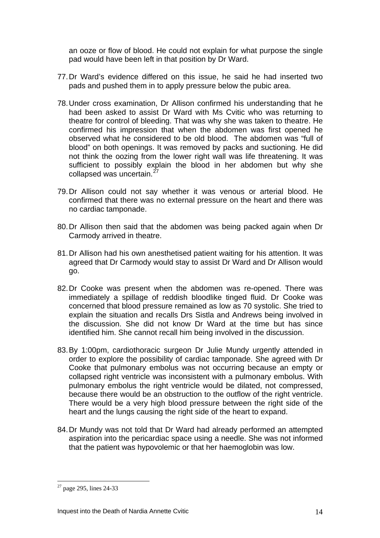an ooze or flow of blood. He could not explain for what purpose the single pad would have been left in that position by Dr Ward.

- 77. Dr Ward's evidence differed on this issue, he said he had inserted two pads and pushed them in to apply pressure below the pubic area.
- 78. Under cross examination, Dr Allison confirmed his understanding that he had been asked to assist Dr Ward with Ms Cvitic who was returning to theatre for control of bleeding. That was why she was taken to theatre. He confirmed his impression that when the abdomen was first opened he observed what he considered to be old blood. The abdomen was "full of blood" on both openings. It was removed by packs and suctioning. He did not think the oozing from the lower right wall was life threatening. It was sufficient to possibly explain the blood in her abdomen but why she collapsed was uncertain.<sup>2</sup>
- 79. Dr Allison could not say whether it was venous or arterial blood. He confirmed that there was no external pressure on the heart and there was no cardiac tamponade.
- 80. Dr Allison then said that the abdomen was being packed again when Dr Carmody arrived in theatre.
- 81. Dr Allison had his own anesthetised patient waiting for his attention. It was agreed that Dr Carmody would stay to assist Dr Ward and Dr Allison would go.
- 82. Dr Cooke was present when the abdomen was re-opened. There was immediately a spillage of reddish bloodlike tinged fluid. Dr Cooke was concerned that blood pressure remained as low as 70 systolic. She tried to explain the situation and recalls Drs Sistla and Andrews being involved in the discussion. She did not know Dr Ward at the time but has since identified him. She cannot recall him being involved in the discussion.
- 83. By 1:00pm, cardiothoracic surgeon Dr Julie Mundy urgently attended in order to explore the possibility of cardiac tamponade. She agreed with Dr Cooke that pulmonary embolus was not occurring because an empty or collapsed right ventricle was inconsistent with a pulmonary embolus. With pulmonary embolus the right ventricle would be dilated, not compressed, because there would be an obstruction to the outflow of the right ventricle. There would be a very high blood pressure between the right side of the heart and the lungs causing the right side of the heart to expand.
- 84. Dr Mundy was not told that Dr Ward had already performed an attempted aspiration into the pericardiac space using a needle. She was not informed that the patient was hypovolemic or that her haemoglobin was low.

<span id="page-13-0"></span> $27$  page 295, lines 24-33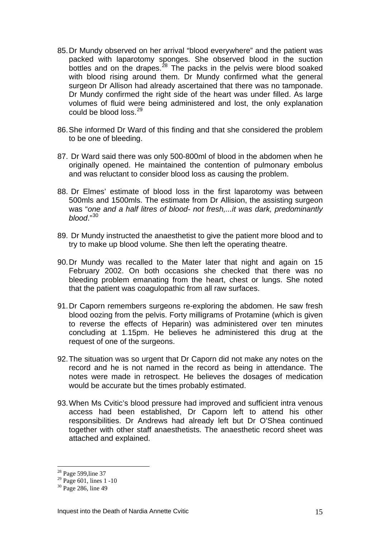- 85. Dr Mundy observed on her arrival "blood everywhere" and the patient was packed with laparotomy sponges. She observed blood in the suction bottles and on the drapes.<sup>[28](#page-14-0)</sup> The packs in the pelvis were blood soaked with blood rising around them. Dr Mundy confirmed what the general surgeon Dr Allison had already ascertained that there was no tamponade. Dr Mundy confirmed the right side of the heart was under filled. As large volumes of fluid were being administered and lost, the only explanation could be blood loss.<sup>[29](#page-14-1)</sup>
- 86. She informed Dr Ward of this finding and that she considered the problem to be one of bleeding.
- 87. Dr Ward said there was only 500-800ml of blood in the abdomen when he originally opened. He maintained the contention of pulmonary embolus and was reluctant to consider blood loss as causing the problem.
- 88. Dr Elmes' estimate of blood loss in the first laparotomy was between 500mls and 1500mls. The estimate from Dr Allision, the assisting surgeon was "*one and a half litres of blood- not fresh,...it was dark, predominantly blood*."[30](#page-14-2)
- 89. Dr Mundy instructed the anaesthetist to give the patient more blood and to try to make up blood volume. She then left the operating theatre.
- 90. Dr Mundy was recalled to the Mater later that night and again on 15 February 2002. On both occasions she checked that there was no bleeding problem emanating from the heart, chest or lungs. She noted that the patient was coagulopathic from all raw surfaces.
- 91. Dr Caporn remembers surgeons re-exploring the abdomen. He saw fresh blood oozing from the pelvis. Forty milligrams of Protamine (which is given to reverse the effects of Heparin) was administered over ten minutes concluding at 1.15pm. He believes he administered this drug at the request of one of the surgeons.
- 92. The situation was so urgent that Dr Caporn did not make any notes on the record and he is not named in the record as being in attendance. The notes were made in retrospect. He believes the dosages of medication would be accurate but the times probably estimated.
- 93. When Ms Cvitic's blood pressure had improved and sufficient intra venous access had been established, Dr Caporn left to attend his other responsibilities. Dr Andrews had already left but Dr O'Shea continued together with other staff anaesthetists. The anaesthetic record sheet was attached and explained.

<sup>&</sup>lt;sup>28</sup> Page 599, line 37

<span id="page-14-1"></span><span id="page-14-0"></span> $^{29}$  Page 601, lines 1 -10

<span id="page-14-2"></span><sup>&</sup>lt;sup>30</sup> Page 286, line 49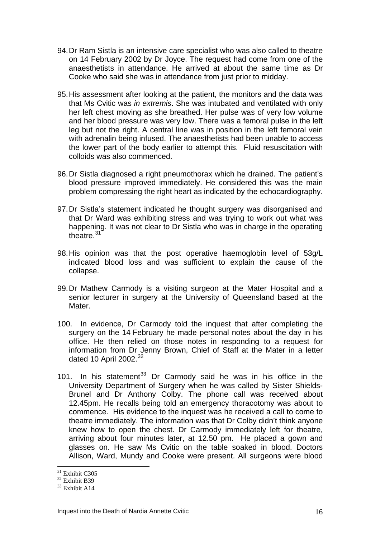- 94. Dr Ram Sistla is an intensive care specialist who was also called to theatre on 14 February 2002 by Dr Joyce. The request had come from one of the anaesthetists in attendance. He arrived at about the same time as Dr Cooke who said she was in attendance from just prior to midday.
- 95. His assessment after looking at the patient, the monitors and the data was that Ms Cvitic was *in extremis*. She was intubated and ventilated with only her left chest moving as she breathed. Her pulse was of very low volume and her blood pressure was very low. There was a femoral pulse in the left leg but not the right. A central line was in position in the left femoral vein with adrenalin being infused. The anaesthetists had been unable to access the lower part of the body earlier to attempt this. Fluid resuscitation with colloids was also commenced.
- 96. Dr Sistla diagnosed a right pneumothorax which he drained. The patient's blood pressure improved immediately. He considered this was the main problem compressing the right heart as indicated by the echocardiography.
- 97. Dr Sistla's statement indicated he thought surgery was disorganised and that Dr Ward was exhibiting stress and was trying to work out what was happening. It was not clear to Dr Sistla who was in charge in the operating theatre [31](#page-15-0)
- 98. His opinion was that the post operative haemoglobin level of 53g/L indicated blood loss and was sufficient to explain the cause of the collapse.
- 99. Dr Mathew Carmody is a visiting surgeon at the Mater Hospital and a senior lecturer in surgery at the University of Queensland based at the Mater.
- 100. In evidence, Dr Carmody told the inquest that after completing the surgery on the 14 February he made personal notes about the day in his office. He then relied on those notes in responding to a request for information from Dr Jenny Brown, Chief of Staff at the Mater in a letter dated 10 April 2002. $32$
- 101. In his statement<sup>[33](#page-15-2)</sup> Dr Carmody said he was in his office in the University Department of Surgery when he was called by Sister Shields-Brunel and Dr Anthony Colby. The phone call was received about 12.45pm. He recalls being told an emergency thoracotomy was about to commence. His evidence to the inquest was he received a call to come to theatre immediately. The information was that Dr Colby didn't think anyone knew how to open the chest. Dr Carmody immediately left for theatre, arriving about four minutes later, at 12.50 pm. He placed a gown and glasses on. He saw Ms Cvitic on the table soaked in blood. Doctors Allison, Ward, Mundy and Cooke were present. All surgeons were blood

 $31$  Exhibit C305

<span id="page-15-1"></span><span id="page-15-0"></span> $32$  Exhibit B39

<span id="page-15-2"></span><sup>&</sup>lt;sup>33</sup> Exhibit A14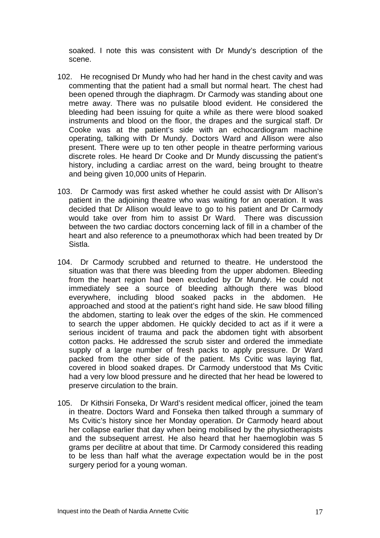soaked. I note this was consistent with Dr Mundy's description of the scene.

- 102. He recognised Dr Mundy who had her hand in the chest cavity and was commenting that the patient had a small but normal heart. The chest had been opened through the diaphragm. Dr Carmody was standing about one metre away. There was no pulsatile blood evident. He considered the bleeding had been issuing for quite a while as there were blood soaked instruments and blood on the floor, the drapes and the surgical staff. Dr Cooke was at the patient's side with an echocardiogram machine operating, talking with Dr Mundy. Doctors Ward and Allison were also present. There were up to ten other people in theatre performing various discrete roles. He heard Dr Cooke and Dr Mundy discussing the patient's history, including a cardiac arrest on the ward, being brought to theatre and being given 10,000 units of Heparin.
- 103. Dr Carmody was first asked whether he could assist with Dr Allison's patient in the adjoining theatre who was waiting for an operation. It was decided that Dr Allison would leave to go to his patient and Dr Carmody would take over from him to assist Dr Ward. There was discussion between the two cardiac doctors concerning lack of fill in a chamber of the heart and also reference to a pneumothorax which had been treated by Dr Sistla.
- 104. Dr Carmody scrubbed and returned to theatre. He understood the situation was that there was bleeding from the upper abdomen. Bleeding from the heart region had been excluded by Dr Mundy. He could not immediately see a source of bleeding although there was blood everywhere, including blood soaked packs in the abdomen. He approached and stood at the patient's right hand side. He saw blood filling the abdomen, starting to leak over the edges of the skin. He commenced to search the upper abdomen. He quickly decided to act as if it were a serious incident of trauma and pack the abdomen tight with absorbent cotton packs. He addressed the scrub sister and ordered the immediate supply of a large number of fresh packs to apply pressure. Dr Ward packed from the other side of the patient. Ms Cvitic was laying flat, covered in blood soaked drapes. Dr Carmody understood that Ms Cvitic had a very low blood pressure and he directed that her head be lowered to preserve circulation to the brain.
- 105. Dr Kithsiri Fonseka, Dr Ward's resident medical officer, joined the team in theatre. Doctors Ward and Fonseka then talked through a summary of Ms Cvitic's history since her Monday operation. Dr Carmody heard about her collapse earlier that day when being mobilised by the physiotherapists and the subsequent arrest. He also heard that her haemoglobin was 5 grams per decilitre at about that time. Dr Carmody considered this reading to be less than half what the average expectation would be in the post surgery period for a young woman.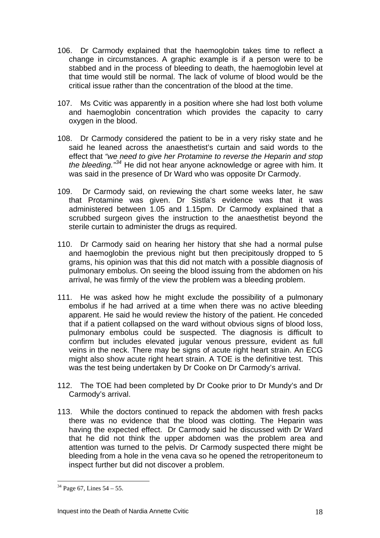- 106. Dr Carmody explained that the haemoglobin takes time to reflect a change in circumstances. A graphic example is if a person were to be stabbed and in the process of bleeding to death, the haemoglobin level at that time would still be normal. The lack of volume of blood would be the critical issue rather than the concentration of the blood at the time.
- 107. Ms Cvitic was apparently in a position where she had lost both volume and haemoglobin concentration which provides the capacity to carry oxygen in the blood.
- 108. Dr Carmody considered the patient to be in a very risky state and he said he leaned across the anaesthetist's curtain and said words to the effect that *"we need to give her Protamine to reverse the Heparin and stop the bleeding."[34](#page-17-0)* He did not hear anyone acknowledge or agree with him. It was said in the presence of Dr Ward who was opposite Dr Carmody.
- 109. Dr Carmody said, on reviewing the chart some weeks later, he saw that Protamine was given. Dr Sistla's evidence was that it was administered between 1.05 and 1.15pm. Dr Carmody explained that a scrubbed surgeon gives the instruction to the anaesthetist beyond the sterile curtain to administer the drugs as required.
- 110. Dr Carmody said on hearing her history that she had a normal pulse and haemoglobin the previous night but then precipitously dropped to 5 grams, his opinion was that this did not match with a possible diagnosis of pulmonary embolus. On seeing the blood issuing from the abdomen on his arrival, he was firmly of the view the problem was a bleeding problem.
- 111. He was asked how he might exclude the possibility of a pulmonary embolus if he had arrived at a time when there was no active bleeding apparent. He said he would review the history of the patient. He conceded that if a patient collapsed on the ward without obvious signs of blood loss, pulmonary embolus could be suspected. The diagnosis is difficult to confirm but includes elevated jugular venous pressure, evident as full veins in the neck. There may be signs of acute right heart strain. An ECG might also show acute right heart strain. A TOE is the definitive test. This was the test being undertaken by Dr Cooke on Dr Carmody's arrival.
- 112. The TOE had been completed by Dr Cooke prior to Dr Mundy's and Dr Carmody's arrival.
- 113. While the doctors continued to repack the abdomen with fresh packs there was no evidence that the blood was clotting. The Heparin was having the expected effect. Dr Carmody said he discussed with Dr Ward that he did not think the upper abdomen was the problem area and attention was turned to the pelvis. Dr Carmody suspected there might be bleeding from a hole in the vena cava so he opened the retroperitoneum to inspect further but did not discover a problem.

<span id="page-17-0"></span> $34$  Page 67, Lines  $54 - 55$ .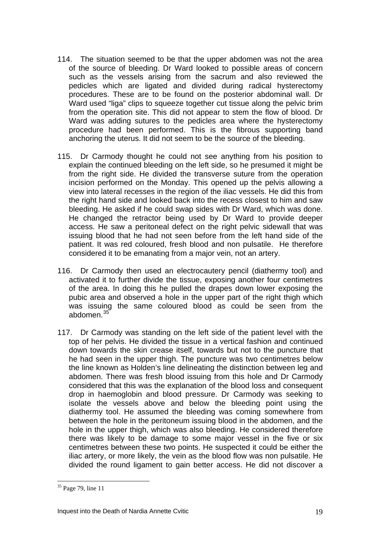- 114. The situation seemed to be that the upper abdomen was not the area of the source of bleeding. Dr Ward looked to possible areas of concern such as the vessels arising from the sacrum and also reviewed the pedicles which are ligated and divided during radical hysterectomy procedures. These are to be found on the posterior abdominal wall. Dr Ward used "liga" clips to squeeze together cut tissue along the pelvic brim from the operation site. This did not appear to stem the flow of blood. Dr Ward was adding sutures to the pedicles area where the hysterectomy procedure had been performed. This is the fibrous supporting band anchoring the uterus. It did not seem to be the source of the bleeding.
- 115. Dr Carmody thought he could not see anything from his position to explain the continued bleeding on the left side, so he presumed it might be from the right side. He divided the transverse suture from the operation incision performed on the Monday. This opened up the pelvis allowing a view into lateral recesses in the region of the iliac vessels. He did this from the right hand side and looked back into the recess closest to him and saw bleeding. He asked if he could swap sides with Dr Ward, which was done. He changed the retractor being used by Dr Ward to provide deeper access. He saw a peritoneal defect on the right pelvic sidewall that was issuing blood that he had not seen before from the left hand side of the patient. It was red coloured, fresh blood and non pulsatile. He therefore considered it to be emanating from a major vein, not an artery.
- 116. Dr Carmody then used an electrocautery pencil (diathermy tool) and activated it to further divide the tissue, exposing another four centimetres of the area. In doing this he pulled the drapes down lower exposing the pubic area and observed a hole in the upper part of the right thigh which was issuing the same coloured blood as could be seen from the abdomen.[35](#page-18-0)
- 117. Dr Carmody was standing on the left side of the patient level with the top of her pelvis. He divided the tissue in a vertical fashion and continued down towards the skin crease itself, towards but not to the puncture that he had seen in the upper thigh. The puncture was two centimetres below the line known as Holden's line delineating the distinction between leg and abdomen. There was fresh blood issuing from this hole and Dr Carmody considered that this was the explanation of the blood loss and consequent drop in haemoglobin and blood pressure. Dr Carmody was seeking to isolate the vessels above and below the bleeding point using the diathermy tool. He assumed the bleeding was coming somewhere from between the hole in the peritoneum issuing blood in the abdomen, and the hole in the upper thigh, which was also bleeding. He considered therefore there was likely to be damage to some major vessel in the five or six centimetres between these two points. He suspected it could be either the iliac artery, or more likely, the vein as the blood flow was non pulsatile. He divided the round ligament to gain better access. He did not discover a

<span id="page-18-0"></span><sup>&</sup>lt;sup>35</sup> Page 79, line 11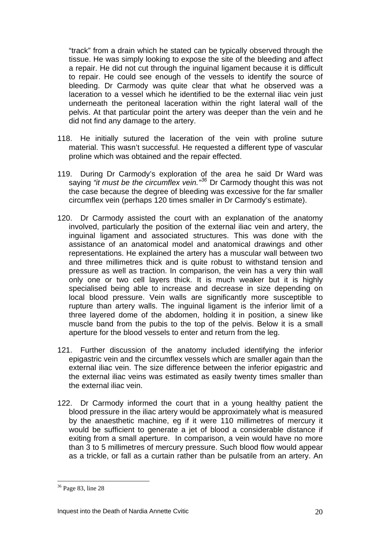"track" from a drain which he stated can be typically observed through the tissue. He was simply looking to expose the site of the bleeding and affect a repair. He did not cut through the inguinal ligament because it is difficult to repair. He could see enough of the vessels to identify the source of bleeding. Dr Carmody was quite clear that what he observed was a laceration to a vessel which he identified to be the external iliac vein just underneath the peritoneal laceration within the right lateral wall of the pelvis. At that particular point the artery was deeper than the vein and he did not find any damage to the artery.

- 118. He initially sutured the laceration of the vein with proline suture material. This wasn't successful. He requested a different type of vascular proline which was obtained and the repair effected.
- 119. During Dr Carmody's exploration of the area he said Dr Ward was saying *"it must be the circumflex vein."[36](#page-19-0)* Dr Carmody thought this was not the case because the degree of bleeding was excessive for the far smaller circumflex vein (perhaps 120 times smaller in Dr Carmody's estimate).
- 120. Dr Carmody assisted the court with an explanation of the anatomy involved, particularly the position of the external iliac vein and artery, the inguinal ligament and associated structures. This was done with the assistance of an anatomical model and anatomical drawings and other representations. He explained the artery has a muscular wall between two and three millimetres thick and is quite robust to withstand tension and pressure as well as traction. In comparison, the vein has a very thin wall only one or two cell layers thick. It is much weaker but it is highly specialised being able to increase and decrease in size depending on local blood pressure. Vein walls are significantly more susceptible to rupture than artery walls. The inguinal ligament is the inferior limit of a three layered dome of the abdomen, holding it in position, a sinew like muscle band from the pubis to the top of the pelvis. Below it is a small aperture for the blood vessels to enter and return from the leg.
- 121. Further discussion of the anatomy included identifying the inferior epigastric vein and the circumflex vessels which are smaller again than the external iliac vein. The size difference between the inferior epigastric and the external iliac veins was estimated as easily twenty times smaller than the external iliac vein.
- 122. Dr Carmody informed the court that in a young healthy patient the blood pressure in the iliac artery would be approximately what is measured by the anaesthetic machine, eg if it were 110 millimetres of mercury it would be sufficient to generate a jet of blood a considerable distance if exiting from a small aperture. In comparison, a vein would have no more than 3 to 5 millimetres of mercury pressure. Such blood flow would appear as a trickle, or fall as a curtain rather than be pulsatile from an artery. An

<span id="page-19-0"></span><sup>36</sup> Page 83, line 28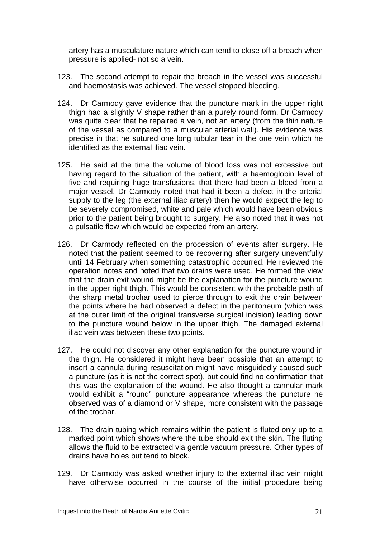artery has a musculature nature which can tend to close off a breach when pressure is applied- not so a vein.

- 123. The second attempt to repair the breach in the vessel was successful and haemostasis was achieved. The vessel stopped bleeding.
- 124. Dr Carmody gave evidence that the puncture mark in the upper right thigh had a slightly V shape rather than a purely round form. Dr Carmody was quite clear that he repaired a vein, not an artery (from the thin nature of the vessel as compared to a muscular arterial wall). His evidence was precise in that he sutured one long tubular tear in the one vein which he identified as the external iliac vein.
- 125. He said at the time the volume of blood loss was not excessive but having regard to the situation of the patient, with a haemoglobin level of five and requiring huge transfusions, that there had been a bleed from a major vessel. Dr Carmody noted that had it been a defect in the arterial supply to the leg (the external iliac artery) then he would expect the leg to be severely compromised, white and pale which would have been obvious prior to the patient being brought to surgery. He also noted that it was not a pulsatile flow which would be expected from an artery.
- 126. Dr Carmody reflected on the procession of events after surgery. He noted that the patient seemed to be recovering after surgery uneventfully until 14 February when something catastrophic occurred. He reviewed the operation notes and noted that two drains were used. He formed the view that the drain exit wound might be the explanation for the puncture wound in the upper right thigh. This would be consistent with the probable path of the sharp metal trochar used to pierce through to exit the drain between the points where he had observed a defect in the peritoneum (which was at the outer limit of the original transverse surgical incision) leading down to the puncture wound below in the upper thigh. The damaged external iliac vein was between these two points.
- 127. He could not discover any other explanation for the puncture wound in the thigh. He considered it might have been possible that an attempt to insert a cannula during resuscitation might have misguidedly caused such a puncture (as it is not the correct spot), but could find no confirmation that this was the explanation of the wound. He also thought a cannular mark would exhibit a "round" puncture appearance whereas the puncture he observed was of a diamond or V shape, more consistent with the passage of the trochar.
- 128. The drain tubing which remains within the patient is fluted only up to a marked point which shows where the tube should exit the skin. The fluting allows the fluid to be extracted via gentle vacuum pressure. Other types of drains have holes but tend to block.
- 129. Dr Carmody was asked whether injury to the external iliac vein might have otherwise occurred in the course of the initial procedure being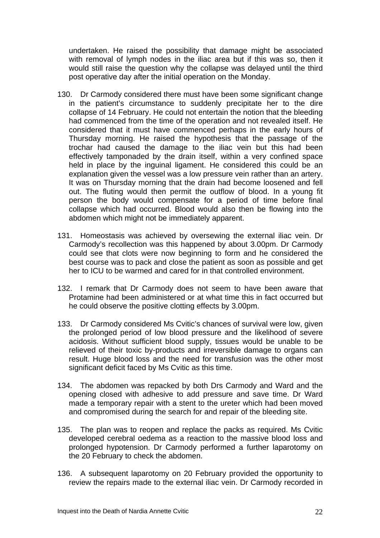undertaken. He raised the possibility that damage might be associated with removal of lymph nodes in the iliac area but if this was so, then it would still raise the question why the collapse was delayed until the third post operative day after the initial operation on the Monday.

- 130. Dr Carmody considered there must have been some significant change in the patient's circumstance to suddenly precipitate her to the dire collapse of 14 February. He could not entertain the notion that the bleeding had commenced from the time of the operation and not revealed itself. He considered that it must have commenced perhaps in the early hours of Thursday morning. He raised the hypothesis that the passage of the trochar had caused the damage to the iliac vein but this had been effectively tamponaded by the drain itself, within a very confined space held in place by the inguinal ligament. He considered this could be an explanation given the vessel was a low pressure vein rather than an artery. It was on Thursday morning that the drain had become loosened and fell out. The fluting would then permit the outflow of blood. In a young fit person the body would compensate for a period of time before final collapse which had occurred. Blood would also then be flowing into the abdomen which might not be immediately apparent.
- 131. Homeostasis was achieved by oversewing the external iliac vein. Dr Carmody's recollection was this happened by about 3.00pm. Dr Carmody could see that clots were now beginning to form and he considered the best course was to pack and close the patient as soon as possible and get her to ICU to be warmed and cared for in that controlled environment.
- 132. I remark that Dr Carmody does not seem to have been aware that Protamine had been administered or at what time this in fact occurred but he could observe the positive clotting effects by 3.00pm.
- 133. Dr Carmody considered Ms Cvitic's chances of survival were low, given the prolonged period of low blood pressure and the likelihood of severe acidosis. Without sufficient blood supply, tissues would be unable to be relieved of their toxic by-products and irreversible damage to organs can result. Huge blood loss and the need for transfusion was the other most significant deficit faced by Ms Cvitic as this time.
- 134. The abdomen was repacked by both Drs Carmody and Ward and the opening closed with adhesive to add pressure and save time. Dr Ward made a temporary repair with a stent to the ureter which had been moved and compromised during the search for and repair of the bleeding site.
- 135. The plan was to reopen and replace the packs as required. Ms Cvitic developed cerebral oedema as a reaction to the massive blood loss and prolonged hypotension. Dr Carmody performed a further laparotomy on the 20 February to check the abdomen.
- 136. A subsequent laparotomy on 20 February provided the opportunity to review the repairs made to the external iliac vein. Dr Carmody recorded in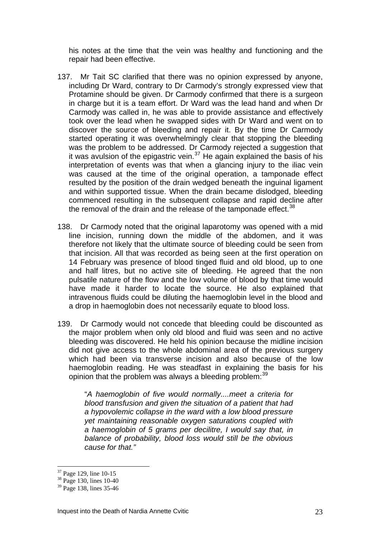his notes at the time that the vein was healthy and functioning and the repair had been effective.

- 137. Mr Tait SC clarified that there was no opinion expressed by anyone, including Dr Ward, contrary to Dr Carmody's strongly expressed view that Protamine should be given. Dr Carmody confirmed that there is a surgeon in charge but it is a team effort. Dr Ward was the lead hand and when Dr Carmody was called in, he was able to provide assistance and effectively took over the lead when he swapped sides with Dr Ward and went on to discover the source of bleeding and repair it. By the time Dr Carmody started operating it was overwhelmingly clear that stopping the bleeding was the problem to be addressed. Dr Carmody rejected a suggestion that it was avulsion of the epigastric vein.<sup>[37](#page-22-0)</sup> He again explained the basis of his interpretation of events was that when a glancing injury to the iliac vein was caused at the time of the original operation, a tamponade effect resulted by the position of the drain wedged beneath the inguinal ligament and within supported tissue. When the drain became dislodged, bleeding commenced resulting in the subsequent collapse and rapid decline after the removal of the drain and the release of the tamponade effect.  $38$
- 138. Dr Carmody noted that the original laparotomy was opened with a mid line incision, running down the middle of the abdomen, and it was therefore not likely that the ultimate source of bleeding could be seen from that incision. All that was recorded as being seen at the first operation on 14 February was presence of blood tinged fluid and old blood, up to one and half litres, but no active site of bleeding. He agreed that the non pulsatile nature of the flow and the low volume of blood by that time would have made it harder to locate the source. He also explained that intravenous fluids could be diluting the haemoglobin level in the blood and a drop in haemoglobin does not necessarily equate to blood loss.
- 139. Dr Carmody would not concede that bleeding could be discounted as the major problem when only old blood and fluid was seen and no active bleeding was discovered. He held his opinion because the midline incision did not give access to the whole abdominal area of the previous surgery which had been via transverse incision and also because of the low haemoglobin reading. He was steadfast in explaining the basis for his opinion that the problem was always a bleeding problem: <sup>[39](#page-22-2)</sup>

"*A haemoglobin of five would normally....meet a criteria for blood transfusion and given the situation of a patient that had a hypovolemic collapse in the ward with a low blood pressure yet maintaining reasonable oxygen saturations coupled with a haemoglobin of 5 grams per decilitre, I would say that, in balance of probability, blood loss would still be the obvious cause for that."* 

<sup>37</sup> Page 129, line 10-15

<span id="page-22-1"></span><span id="page-22-0"></span><sup>38</sup> Page 130, lines 10-40

<span id="page-22-2"></span><sup>&</sup>lt;sup>39</sup> Page 138, lines 35-46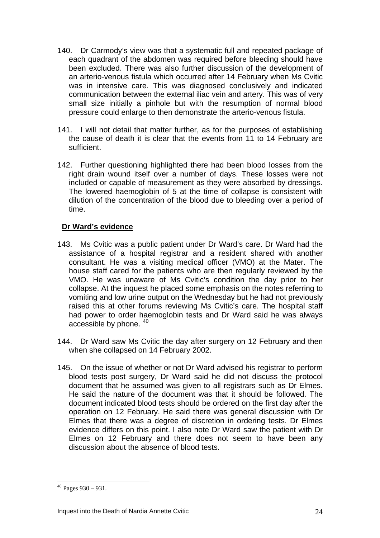- 140. Dr Carmody's view was that a systematic full and repeated package of each quadrant of the abdomen was required before bleeding should have been excluded. There was also further discussion of the development of an arterio-venous fistula which occurred after 14 February when Ms Cvitic was in intensive care. This was diagnosed conclusively and indicated communication between the external iliac vein and artery. This was of very small size initially a pinhole but with the resumption of normal blood pressure could enlarge to then demonstrate the arterio-venous fistula.
- 141. I will not detail that matter further, as for the purposes of establishing the cause of death it is clear that the events from 11 to 14 February are sufficient.
- 142. Further questioning highlighted there had been blood losses from the right drain wound itself over a number of days. These losses were not included or capable of measurement as they were absorbed by dressings. The lowered haemoglobin of 5 at the time of collapse is consistent with dilution of the concentration of the blood due to bleeding over a period of time.

#### **Dr Ward's evidence**

- 143. Ms Cvitic was a public patient under Dr Ward's care. Dr Ward had the assistance of a hospital registrar and a resident shared with another consultant. He was a visiting medical officer (VMO) at the Mater. The house staff cared for the patients who are then regularly reviewed by the VMO. He was unaware of Ms Cvitic's condition the day prior to her collapse. At the inquest he placed some emphasis on the notes referring to vomiting and low urine output on the Wednesday but he had not previously raised this at other forums reviewing Ms Cvitic's care. The hospital staff had power to order haemoglobin tests and Dr Ward said he was always accessible by phone. [40](#page-23-0)
- 144. Dr Ward saw Ms Cvitic the day after surgery on 12 February and then when she collapsed on 14 February 2002.
- 145. On the issue of whether or not Dr Ward advised his registrar to perform blood tests post surgery, Dr Ward said he did not discuss the protocol document that he assumed was given to all registrars such as Dr Elmes. He said the nature of the document was that it should be followed. The document indicated blood tests should be ordered on the first day after the operation on 12 February. He said there was general discussion with Dr Elmes that there was a degree of discretion in ordering tests. Dr Elmes evidence differs on this point. I also note Dr Ward saw the patient with Dr Elmes on 12 February and there does not seem to have been any discussion about the absence of blood tests.

<span id="page-23-0"></span> $40$  Pages 930 – 931.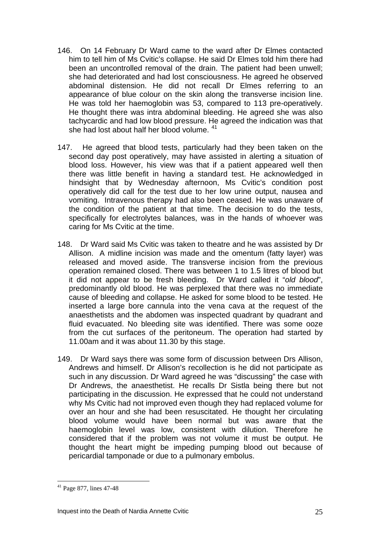- 146. On 14 February Dr Ward came to the ward after Dr Elmes contacted him to tell him of Ms Cvitic's collapse. He said Dr Elmes told him there had been an uncontrolled removal of the drain. The patient had been unwell; she had deteriorated and had lost consciousness. He agreed he observed abdominal distension. He did not recall Dr Elmes referring to an appearance of blue colour on the skin along the transverse incision line. He was told her haemoglobin was 53, compared to 113 pre-operatively. He thought there was intra abdominal bleeding. He agreed she was also tachycardic and had low blood pressure. He agreed the indication was that she had lost about half her blood volume. [41](#page-24-0)
- 147. He agreed that blood tests, particularly had they been taken on the second day post operatively, may have assisted in alerting a situation of blood loss. However, his view was that if a patient appeared well then there was little benefit in having a standard test. He acknowledged in hindsight that by Wednesday afternoon, Ms Cvitic's condition post operatively did call for the test due to her low urine output, nausea and vomiting. Intravenous therapy had also been ceased. He was unaware of the condition of the patient at that time. The decision to do the tests, specifically for electrolytes balances, was in the hands of whoever was caring for Ms Cvitic at the time.
- 148. Dr Ward said Ms Cvitic was taken to theatre and he was assisted by Dr Allison. A midline incision was made and the omentum (fatty layer) was released and moved aside. The transverse incision from the previous operation remained closed. There was between 1 to 1.5 litres of blood but it did not appear to be fresh bleeding. Dr Ward called it "*old blood*", predominantly old blood. He was perplexed that there was no immediate cause of bleeding and collapse. He asked for some blood to be tested. He inserted a large bore cannula into the vena cava at the request of the anaesthetists and the abdomen was inspected quadrant by quadrant and fluid evacuated. No bleeding site was identified. There was some ooze from the cut surfaces of the peritoneum. The operation had started by 11.00am and it was about 11.30 by this stage.
- 149. Dr Ward says there was some form of discussion between Drs Allison, Andrews and himself. Dr Allison's recollection is he did not participate as such in any discussion. Dr Ward agreed he was "discussing" the case with Dr Andrews, the anaesthetist. He recalls Dr Sistla being there but not participating in the discussion. He expressed that he could not understand why Ms Cvitic had not improved even though they had replaced volume for over an hour and she had been resuscitated. He thought her circulating blood volume would have been normal but was aware that the haemoglobin level was low, consistent with dilution. Therefore he considered that if the problem was not volume it must be output. He thought the heart might be impeding pumping blood out because of pericardial tamponade or due to a pulmonary embolus.

<span id="page-24-0"></span><sup>41</sup> Page 877, lines 47-48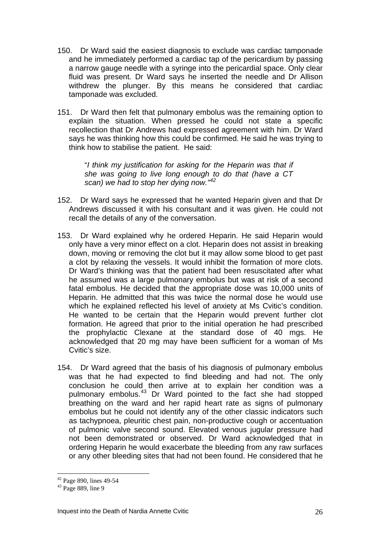- 150. Dr Ward said the easiest diagnosis to exclude was cardiac tamponade and he immediately performed a cardiac tap of the pericardium by passing a narrow gauge needle with a syringe into the pericardial space. Only clear fluid was present. Dr Ward says he inserted the needle and Dr Allison withdrew the plunger. By this means he considered that cardiac tamponade was excluded.
- 151. Dr Ward then felt that pulmonary embolus was the remaining option to explain the situation. When pressed he could not state a specific recollection that Dr Andrews had expressed agreement with him. Dr Ward says he was thinking how this could be confirmed. He said he was trying to think how to stabilise the patient. He said:

"*I think my justification for asking for the Heparin was that if she was going to live long enough to do that (have a CT scan) we had to stop her dying now."[42](#page-25-0)*

- 152. Dr Ward says he expressed that he wanted Heparin given and that Dr Andrews discussed it with his consultant and it was given. He could not recall the details of any of the conversation.
- 153. Dr Ward explained why he ordered Heparin. He said Heparin would only have a very minor effect on a clot. Heparin does not assist in breaking down, moving or removing the clot but it may allow some blood to get past a clot by relaxing the vessels. It would inhibit the formation of more clots. Dr Ward's thinking was that the patient had been resuscitated after what he assumed was a large pulmonary embolus but was at risk of a second fatal embolus. He decided that the appropriate dose was 10,000 units of Heparin. He admitted that this was twice the normal dose he would use which he explained reflected his level of anxiety at Ms Cvitic's condition. He wanted to be certain that the Heparin would prevent further clot formation. He agreed that prior to the initial operation he had prescribed the prophylactic Clexane at the standard dose of 40 mgs. He acknowledged that 20 mg may have been sufficient for a woman of Ms Cvitic's size.
- 154. Dr Ward agreed that the basis of his diagnosis of pulmonary embolus was that he had expected to find bleeding and had not. The only conclusion he could then arrive at to explain her condition was a pulmonary embolus.[43](#page-25-1) Dr Ward pointed to the fact she had stopped breathing on the ward and her rapid heart rate as signs of pulmonary embolus but he could not identify any of the other classic indicators such as tachypnoea, pleuritic chest pain, non-productive cough or accentuation of pulmonic valve second sound. Elevated venous jugular pressure had not been demonstrated or observed. Dr Ward acknowledged that in ordering Heparin he would exacerbate the bleeding from any raw surfaces or any other bleeding sites that had not been found. He considered that he

<span id="page-25-0"></span><sup>42</sup> Page 890, lines 49-54

<span id="page-25-1"></span><sup>43</sup> Page 889, line 9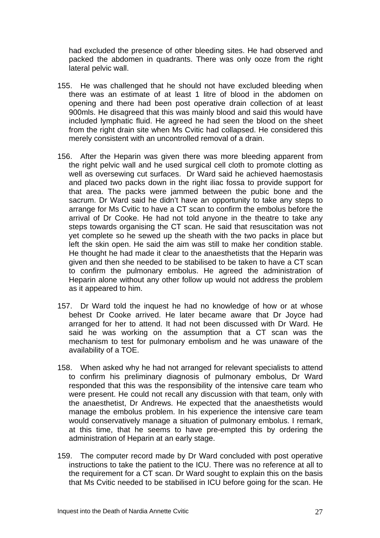had excluded the presence of other bleeding sites. He had observed and packed the abdomen in quadrants. There was only ooze from the right lateral pelvic wall.

- 155. He was challenged that he should not have excluded bleeding when there was an estimate of at least 1 litre of blood in the abdomen on opening and there had been post operative drain collection of at least 900mls. He disagreed that this was mainly blood and said this would have included lymphatic fluid. He agreed he had seen the blood on the sheet from the right drain site when Ms Cvitic had collapsed. He considered this merely consistent with an uncontrolled removal of a drain.
- 156. After the Heparin was given there was more bleeding apparent from the right pelvic wall and he used surgical cell cloth to promote clotting as well as oversewing cut surfaces. Dr Ward said he achieved haemostasis and placed two packs down in the right iliac fossa to provide support for that area. The packs were jammed between the pubic bone and the sacrum. Dr Ward said he didn't have an opportunity to take any steps to arrange for Ms Cvitic to have a CT scan to confirm the embolus before the arrival of Dr Cooke. He had not told anyone in the theatre to take any steps towards organising the CT scan. He said that resuscitation was not yet complete so he sewed up the sheath with the two packs in place but left the skin open. He said the aim was still to make her condition stable. He thought he had made it clear to the anaesthetists that the Heparin was given and then she needed to be stabilised to be taken to have a CT scan to confirm the pulmonary embolus. He agreed the administration of Heparin alone without any other follow up would not address the problem as it appeared to him.
- 157. Dr Ward told the inquest he had no knowledge of how or at whose behest Dr Cooke arrived. He later became aware that Dr Joyce had arranged for her to attend. It had not been discussed with Dr Ward. He said he was working on the assumption that a CT scan was the mechanism to test for pulmonary embolism and he was unaware of the availability of a TOE.
- 158. When asked why he had not arranged for relevant specialists to attend to confirm his preliminary diagnosis of pulmonary embolus, Dr Ward responded that this was the responsibility of the intensive care team who were present. He could not recall any discussion with that team, only with the anaesthetist, Dr Andrews. He expected that the anaesthetists would manage the embolus problem. In his experience the intensive care team would conservatively manage a situation of pulmonary embolus. I remark, at this time, that he seems to have pre-empted this by ordering the administration of Heparin at an early stage.
- 159. The computer record made by Dr Ward concluded with post operative instructions to take the patient to the ICU. There was no reference at all to the requirement for a CT scan. Dr Ward sought to explain this on the basis that Ms Cvitic needed to be stabilised in ICU before going for the scan. He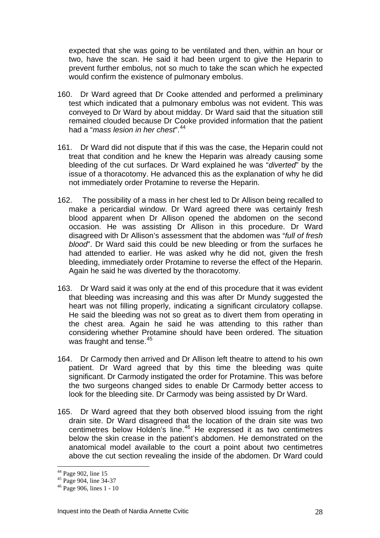expected that she was going to be ventilated and then, within an hour or two, have the scan. He said it had been urgent to give the Heparin to prevent further embolus, not so much to take the scan which he expected would confirm the existence of pulmonary embolus.

- 160. Dr Ward agreed that Dr Cooke attended and performed a preliminary test which indicated that a pulmonary embolus was not evident. This was conveyed to Dr Ward by about midday. Dr Ward said that the situation still remained clouded because Dr Cooke provided information that the patient had a "*mass lesion in her chest*".[44](#page-27-0)
- 161. Dr Ward did not dispute that if this was the case, the Heparin could not treat that condition and he knew the Heparin was already causing some bleeding of the cut surfaces. Dr Ward explained he was "*diverted*" by the issue of a thoracotomy. He advanced this as the explanation of why he did not immediately order Protamine to reverse the Heparin.
- 162. The possibility of a mass in her chest led to Dr Allison being recalled to make a pericardial window. Dr Ward agreed there was certainly fresh blood apparent when Dr Allison opened the abdomen on the second occasion. He was assisting Dr Allison in this procedure. Dr Ward disagreed with Dr Allison's assessment that the abdomen was "*full of fresh blood*". Dr Ward said this could be new bleeding or from the surfaces he had attended to earlier. He was asked why he did not, given the fresh bleeding, immediately order Protamine to reverse the effect of the Heparin. Again he said he was diverted by the thoracotomy.
- 163. Dr Ward said it was only at the end of this procedure that it was evident that bleeding was increasing and this was after Dr Mundy suggested the heart was not filling properly, indicating a significant circulatory collapse. He said the bleeding was not so great as to divert them from operating in the chest area. Again he said he was attending to this rather than considering whether Protamine should have been ordered. The situation was fraught and tense.<sup>[45](#page-27-1)</sup>
- 164. Dr Carmody then arrived and Dr Allison left theatre to attend to his own patient. Dr Ward agreed that by this time the bleeding was quite significant. Dr Carmody instigated the order for Protamine. This was before the two surgeons changed sides to enable Dr Carmody better access to look for the bleeding site. Dr Carmody was being assisted by Dr Ward.
- 165. Dr Ward agreed that they both observed blood issuing from the right drain site. Dr Ward disagreed that the location of the drain site was two centimetres below Holden's line.<sup>[46](#page-27-2)</sup> He expressed it as two centimetres below the skin crease in the patient's abdomen. He demonstrated on the anatomical model available to the court a point about two centimetres above the cut section revealing the inside of the abdomen. Dr Ward could

<sup>&</sup>lt;sup>44</sup> Page 902, line 15

<span id="page-27-1"></span><span id="page-27-0"></span> $45$  Page 904, line 34-37

<span id="page-27-2"></span><sup>46</sup> Page 906, lines 1 - 10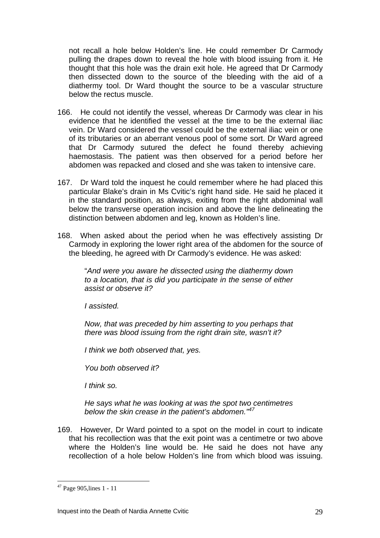not recall a hole below Holden's line. He could remember Dr Carmody pulling the drapes down to reveal the hole with blood issuing from it. He thought that this hole was the drain exit hole. He agreed that Dr Carmody then dissected down to the source of the bleeding with the aid of a diathermy tool. Dr Ward thought the source to be a vascular structure below the rectus muscle.

- 166. He could not identify the vessel, whereas Dr Carmody was clear in his evidence that he identified the vessel at the time to be the external iliac vein. Dr Ward considered the vessel could be the external iliac vein or one of its tributaries or an aberrant venous pool of some sort. Dr Ward agreed that Dr Carmody sutured the defect he found thereby achieving haemostasis. The patient was then observed for a period before her abdomen was repacked and closed and she was taken to intensive care.
- 167. Dr Ward told the inquest he could remember where he had placed this particular Blake's drain in Ms Cvitic's right hand side. He said he placed it in the standard position, as always, exiting from the right abdominal wall below the transverse operation incision and above the line delineating the distinction between abdomen and leg, known as Holden's line.
- 168. When asked about the period when he was effectively assisting Dr Carmody in exploring the lower right area of the abdomen for the source of the bleeding, he agreed with Dr Carmody's evidence. He was asked:

"*And were you aware he dissected using the diathermy down to a location, that is did you participate in the sense of either assist or observe it?* 

*I assisted.* 

*Now, that was preceded by him asserting to you perhaps that there was blood issuing from the right drain site, wasn't it?* 

*I think we both observed that, yes.* 

*You both observed it?* 

*I think so.* 

*He says what he was looking at was the spot two centimetres below the skin crease in the patient's abdomen."[47](#page-28-0)*

169. However, Dr Ward pointed to a spot on the model in court to indicate that his recollection was that the exit point was a centimetre or two above where the Holden's line would be. He said he does not have any recollection of a hole below Holden's line from which blood was issuing.

<span id="page-28-0"></span><sup>&</sup>lt;sup>47</sup> Page 905, lines 1 - 11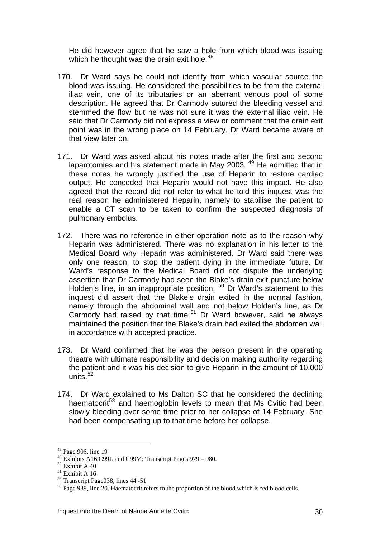He did however agree that he saw a hole from which blood was issuing which he thought was the drain exit hole.<sup>[48](#page-29-0)</sup>

- 170. Dr Ward says he could not identify from which vascular source the blood was issuing. He considered the possibilities to be from the external iliac vein, one of its tributaries or an aberrant venous pool of some description. He agreed that Dr Carmody sutured the bleeding vessel and stemmed the flow but he was not sure it was the external iliac vein. He said that Dr Carmody did not express a view or comment that the drain exit point was in the wrong place on 14 February. Dr Ward became aware of that view later on.
- 171. Dr Ward was asked about his notes made after the first and second laparotomies and his statement made in May 2003.<sup>[49](#page-29-1)</sup> He admitted that in these notes he wrongly justified the use of Heparin to restore cardiac output. He conceded that Heparin would not have this impact. He also agreed that the record did not refer to what he told this inquest was the real reason he administered Heparin, namely to stabilise the patient to enable a CT scan to be taken to confirm the suspected diagnosis of pulmonary embolus.
- 172. There was no reference in either operation note as to the reason why Heparin was administered. There was no explanation in his letter to the Medical Board why Heparin was administered. Dr Ward said there was only one reason, to stop the patient dying in the immediate future. Dr Ward's response to the Medical Board did not dispute the underlying assertion that Dr Carmody had seen the Blake's drain exit puncture below Holden's line, in an inappropriate position. <sup>[50](#page-29-2)</sup> Dr Ward's statement to this inquest did assert that the Blake's drain exited in the normal fashion, namely through the abdominal wall and not below Holden's line, as Dr Carmody had raised by that time.<sup>[51](#page-29-3)</sup> Dr Ward however, said he always maintained the position that the Blake's drain had exited the abdomen wall in accordance with accepted practice.
- 173. Dr Ward confirmed that he was the person present in the operating theatre with ultimate responsibility and decision making authority regarding the patient and it was his decision to give Heparin in the amount of 10,000 units. $52$
- 174. Dr Ward explained to Ms Dalton SC that he considered the declining haematocrit<sup>[53](#page-29-5)</sup> and haemoglobin levels to mean that Ms Cvitic had been slowly bleeding over some time prior to her collapse of 14 February. She had been compensating up to that time before her collapse.

<sup>&</sup>lt;sup>48</sup> Page 906, line 19

<span id="page-29-1"></span><span id="page-29-0"></span><sup>49</sup> Exhibits A16,C99L and C99M; Transcript Pages 979 – 980.

<span id="page-29-2"></span> $\rm ^{50}$  Exhibit A 40

<span id="page-29-3"></span> $^{51}$  Exhibit A 16  $\,$ 

<span id="page-29-4"></span> $52$  Transcript Page 938, lines 44 -51

<span id="page-29-5"></span><sup>&</sup>lt;sup>53</sup> Page 939, line 20. Haematocrit refers to the proportion of the blood which is red blood cells.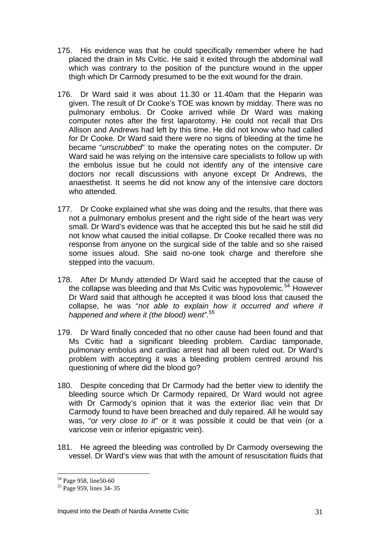- 175. His evidence was that he could specifically remember where he had placed the drain in Ms Cvitic. He said it exited through the abdominal wall which was contrary to the position of the puncture wound in the upper thigh which Dr Carmody presumed to be the exit wound for the drain.
- 176. Dr Ward said it was about 11.30 or 11.40am that the Heparin was given. The result of Dr Cooke's TOE was known by midday. There was no pulmonary embolus. Dr Cooke arrived while Dr Ward was making computer notes after the first laparotomy. He could not recall that Drs Allison and Andrews had left by this time. He did not know who had called for Dr Cooke. Dr Ward said there were no signs of bleeding at the time he became "*unscrubbed*" to make the operating notes on the computer. Dr Ward said he was relying on the intensive care specialists to follow up with the embolus issue but he could not identify any of the intensive care doctors nor recall discussions with anyone except Dr Andrews, the anaesthetist. It seems he did not know any of the intensive care doctors who attended.
- 177. Dr Cooke explained what she was doing and the results, that there was not a pulmonary embolus present and the right side of the heart was very small. Dr Ward's evidence was that he accepted this but he said he still did not know what caused the initial collapse. Dr Cooke recalled there was no response from anyone on the surgical side of the table and so she raised some issues aloud. She said no-one took charge and therefore she stepped into the vacuum.
- 178. After Dr Mundy attended Dr Ward said he accepted that the cause of the collapse was bleeding and that Ms Cvitic was hypovolemic.<sup>[54](#page-30-0)</sup> However Dr Ward said that although he accepted it was blood loss that caused the collapse, he was "*not able to explain how it occurred and where it happened and where it (the blood) went".*[55](#page-30-1)
- 179. Dr Ward finally conceded that no other cause had been found and that Ms Cvitic had a significant bleeding problem. Cardiac tamponade, pulmonary embolus and cardiac arrest had all been ruled out. Dr Ward's problem with accepting it was a bleeding problem centred around his questioning of where did the blood go?
- 180. Despite conceding that Dr Carmody had the better view to identify the bleeding source which Dr Carmody repaired, Dr Ward would not agree with Dr Carmody's opinion that it was the exterior iliac vein that Dr Carmody found to have been breached and duly repaired. All he would say was, "*or very close to it*" or it was possible it could be that vein (or a varicose vein or inferior epigastric vein).
- 181. He agreed the bleeding was controlled by Dr Carmody oversewing the vessel. Dr Ward's view was that with the amount of resuscitation fluids that

<span id="page-30-0"></span><sup>54</sup> Page 958, line50-60

<span id="page-30-1"></span><sup>&</sup>lt;sup>55</sup> Page 959, lines 34-35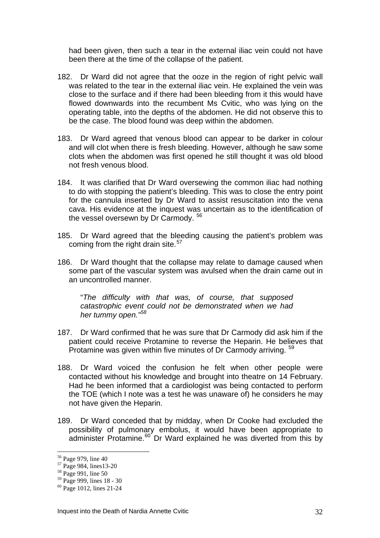had been given, then such a tear in the external iliac vein could not have been there at the time of the collapse of the patient.

- 182. Dr Ward did not agree that the ooze in the region of right pelvic wall was related to the tear in the external iliac vein. He explained the vein was close to the surface and if there had been bleeding from it this would have flowed downwards into the recumbent Ms Cvitic, who was lying on the operating table, into the depths of the abdomen. He did not observe this to be the case. The blood found was deep within the abdomen.
- 183. Dr Ward agreed that venous blood can appear to be darker in colour and will clot when there is fresh bleeding. However, although he saw some clots when the abdomen was first opened he still thought it was old blood not fresh venous blood.
- 184. It was clarified that Dr Ward oversewing the common iliac had nothing to do with stopping the patient's bleeding. This was to close the entry point for the cannula inserted by Dr Ward to assist resuscitation into the vena cava. His evidence at the inquest was uncertain as to the identification of the vessel oversewn by Dr Carmody.<sup>[56](#page-31-0)</sup>
- 185. Dr Ward agreed that the bleeding causing the patient's problem was coming from the right drain site.<sup>[57](#page-31-1)</sup>
- 186. Dr Ward thought that the collapse may relate to damage caused when some part of the vascular system was avulsed when the drain came out in an uncontrolled manner.

"*The difficulty with that was, of course, that supposed catastrophic event could not be demonstrated when we had her tummy open."[58](#page-31-2)*

- 187. Dr Ward confirmed that he was sure that Dr Carmody did ask him if the patient could receive Protamine to reverse the Heparin. He believes that Protamine was given within five minutes of Dr Carmody arriving. <sup>[59](#page-31-3)</sup>
- 188. Dr Ward voiced the confusion he felt when other people were contacted without his knowledge and brought into theatre on 14 February. Had he been informed that a cardiologist was being contacted to perform the TOE (which I note was a test he was unaware of) he considers he may not have given the Heparin.
- 189. Dr Ward conceded that by midday, when Dr Cooke had excluded the possibility of pulmonary embolus, it would have been appropriate to administer Protamine.<sup>[60](#page-31-4)</sup> Dr Ward explained he was diverted from this by

<sup>56</sup> Page 979, line 40

<span id="page-31-1"></span><span id="page-31-0"></span><sup>57</sup> Page 984, lines13-20

<span id="page-31-2"></span><sup>58</sup> Page 991, line 50

<span id="page-31-3"></span><sup>59</sup> Page 999, lines 18 - 30

<span id="page-31-4"></span><sup>60</sup> Page 1012, lines 21-24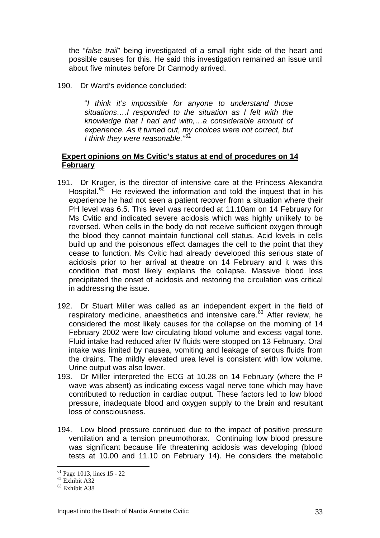the "*false trail*" being investigated of a small right side of the heart and possible causes for this. He said this investigation remained an issue until about five minutes before Dr Carmody arrived.

190. Dr Ward's evidence concluded:

"*I think it's impossible for anyone to understand those situations….I responded to the situation as I felt with the knowledge that I had and with,…a considerable amount of experience. As it turned out, my choices were not correct, but I think they were reasonable."[61](#page-32-0)*

#### **Expert opinions on Ms Cvitic's status at end of procedures on 14 February**

- 191. Dr Kruger, is the director of intensive care at the Princess Alexandra Hospital. $62^{\circ}$  $62^{\circ}$  He reviewed the information and told the inquest that in his experience he had not seen a patient recover from a situation where their PH level was 6.5. This level was recorded at 11.10am on 14 February for Ms Cvitic and indicated severe acidosis which was highly unlikely to be reversed. When cells in the body do not receive sufficient oxygen through the blood they cannot maintain functional cell status. Acid levels in cells build up and the poisonous effect damages the cell to the point that they cease to function. Ms Cvitic had already developed this serious state of acidosis prior to her arrival at theatre on 14 February and it was this condition that most likely explains the collapse. Massive blood loss precipitated the onset of acidosis and restoring the circulation was critical in addressing the issue.
- 192. Dr Stuart Miller was called as an independent expert in the field of respiratory medicine, anaesthetics and intensive care.<sup>[63](#page-32-2)</sup> After review, he considered the most likely causes for the collapse on the morning of 14 February 2002 were low circulating blood volume and excess vagal tone. Fluid intake had reduced after IV fluids were stopped on 13 February. Oral intake was limited by nausea, vomiting and leakage of serous fluids from the drains. The mildly elevated urea level is consistent with low volume. Urine output was also lower.
- 193. Dr Miller interpreted the ECG at 10.28 on 14 February (where the P wave was absent) as indicating excess vagal nerve tone which may have contributed to reduction in cardiac output. These factors led to low blood pressure, inadequate blood and oxygen supply to the brain and resultant loss of consciousness.
- 194. Low blood pressure continued due to the impact of positive pressure ventilation and a tension pneumothorax. Continuing low blood pressure was significant because life threatening acidosis was developing (blood tests at 10.00 and 11.10 on February 14). He considers the metabolic

<span id="page-32-0"></span> $61$  Page 1013, lines 15 - 22

<span id="page-32-1"></span> $62$  Exhibit A32

<span id="page-32-2"></span><sup>63</sup> Exhibit A38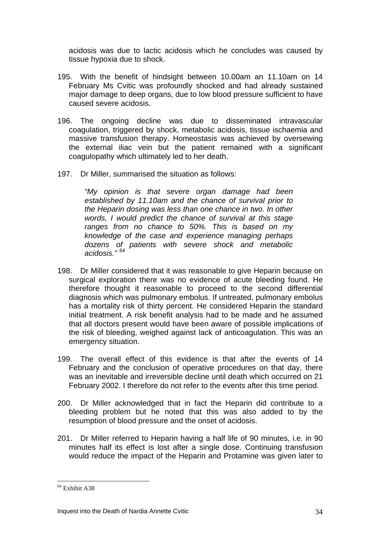acidosis was due to lactic acidosis which he concludes was caused by tissue hypoxia due to shock.

- 195. With the benefit of hindsight between 10.00am an 11.10am on 14 February Ms Cvitic was profoundly shocked and had already sustained major damage to deep organs, due to low blood pressure sufficient to have caused severe acidosis.
- 196. The ongoing decline was due to disseminated intravascular coagulation, triggered by shock, metabolic acidosis, tissue ischaemia and massive transfusion therapy. Homeostasis was achieved by oversewing the external iliac vein but the patient remained with a significant coagulopathy which ultimately led to her death.
- 197. Dr Miller, summarised the situation as follows:

*"My opinion is that severe organ damage had been established by 11.10am and the chance of survival prior to the Heparin dosing was less than one chance in two. In other words, I would predict the chance of survival at this stage ranges from no chance to 50%. This is based on my knowledge of the case and experience managing perhaps dozens of patients with severe shock and metabolic acidosis." [64](#page-33-0)* 

- 198. Dr Miller considered that it was reasonable to give Heparin because on surgical exploration there was no evidence of acute bleeding found. He therefore thought it reasonable to proceed to the second differential diagnosis which was pulmonary embolus. If untreated, pulmonary embolus has a mortality risk of thirty percent. He considered Heparin the standard initial treatment. A risk benefit analysis had to be made and he assumed that all doctors present would have been aware of possible implications of the risk of bleeding, weighed against lack of anticoagulation. This was an emergency situation.
- 199. The overall effect of this evidence is that after the events of 14 February and the conclusion of operative procedures on that day, there was an inevitable and irreversible decline until death which occurred on 21 February 2002. I therefore do not refer to the events after this time period.
- 200. Dr Miller acknowledged that in fact the Heparin did contribute to a bleeding problem but he noted that this was also added to by the resumption of blood pressure and the onset of acidosis.
- 201. Dr Miller referred to Heparin having a half life of 90 minutes, i.e. in 90 minutes half its effect is lost after a single dose. Continuing transfusion would reduce the impact of the Heparin and Protamine was given later to

<span id="page-33-0"></span><sup>64</sup> Exhibit A38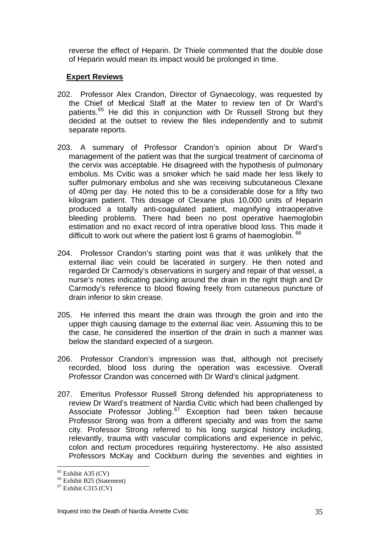reverse the effect of Heparin. Dr Thiele commented that the double dose of Heparin would mean its impact would be prolonged in time.

#### **Expert Reviews**

- 202. Professor Alex Crandon, Director of Gynaecology, was requested by the Chief of Medical Staff at the Mater to review ten of Dr Ward's patients.[65](#page-34-0) He did this in conjunction with Dr Russell Strong but they decided at the outset to review the files independently and to submit separate reports.
- 203. A summary of Professor Crandon's opinion about Dr Ward's management of the patient was that the surgical treatment of carcinoma of the cervix was acceptable. He disagreed with the hypothesis of pulmonary embolus. Ms Cvitic was a smoker which he said made her less likely to suffer pulmonary embolus and she was receiving subcutaneous Clexane of 40mg per day. He noted this to be a considerable dose for a fifty two kilogram patient. This dosage of Clexane plus 10,000 units of Heparin produced a totally anti-coagulated patient, magnifying intraoperative bleeding problems. There had been no post operative haemoglobin estimation and no exact record of intra operative blood loss. This made it difficult to work out where the patient lost 6 grams of haemoglobin.  $66$
- 204. Professor Crandon's starting point was that it was unlikely that the external iliac vein could be lacerated in surgery. He then noted and regarded Dr Carmody's observations in surgery and repair of that vessel, a nurse's notes indicating packing around the drain in the right thigh and Dr Carmody's reference to blood flowing freely from cutaneous puncture of drain inferior to skin crease.
- 205. He inferred this meant the drain was through the groin and into the upper thigh causing damage to the external iliac vein. Assuming this to be the case, he considered the insertion of the drain in such a manner was below the standard expected of a surgeon.
- 206. Professor Crandon's impression was that, although not precisely recorded, blood loss during the operation was excessive. Overall Professor Crandon was concerned with Dr Ward's clinical judgment.
- 207. Emeritus Professor Russell Strong defended his appropriateness to review Dr Ward's treatment of Nardia Cvitic which had been challenged by Associate Professor Jobling.<sup>[67](#page-34-2)</sup> Exception had been taken because Professor Strong was from a different specialty and was from the same city. Professor Strong referred to his long surgical history including, relevantly, trauma with vascular complications and experience in pelvic, colon and rectum procedures requiring hysterectomy. He also assisted Professors McKay and Cockburn during the seventies and eighties in

<span id="page-34-0"></span> $65$  Exhibit A35 (CV)

<span id="page-34-1"></span> $66$  Exhibit B25 (Statement)

<span id="page-34-2"></span> $67$  Exhibit C315 (CV)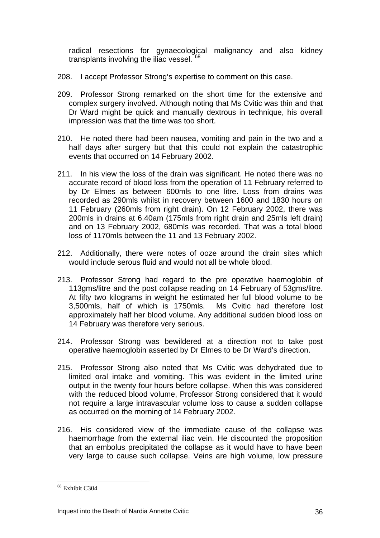radical resections for gynaecological malignancy and also kidney transplants involving the iliac vessel.<sup>[68](#page-35-0)</sup>

- 208. I accept Professor Strong's expertise to comment on this case.
- 209. Professor Strong remarked on the short time for the extensive and complex surgery involved. Although noting that Ms Cvitic was thin and that Dr Ward might be quick and manually dextrous in technique, his overall impression was that the time was too short.
- 210. He noted there had been nausea, vomiting and pain in the two and a half days after surgery but that this could not explain the catastrophic events that occurred on 14 February 2002.
- 211. In his view the loss of the drain was significant. He noted there was no accurate record of blood loss from the operation of 11 February referred to by Dr Elmes as between 600mls to one litre. Loss from drains was recorded as 290mls whilst in recovery between 1600 and 1830 hours on 11 February (260mls from right drain). On 12 February 2002, there was 200mls in drains at 6.40am (175mls from right drain and 25mls left drain) and on 13 February 2002, 680mls was recorded. That was a total blood loss of 1170mls between the 11 and 13 February 2002.
- 212. Additionally, there were notes of ooze around the drain sites which would include serous fluid and would not all be whole blood.
- 213. Professor Strong had regard to the pre operative haemoglobin of 113gms/litre and the post collapse reading on 14 February of 53gms/litre. At fifty two kilograms in weight he estimated her full blood volume to be 3,500mls, half of which is 1750mls. Ms Cvitic had therefore lost approximately half her blood volume. Any additional sudden blood loss on 14 February was therefore very serious.
- 214. Professor Strong was bewildered at a direction not to take post operative haemoglobin asserted by Dr Elmes to be Dr Ward's direction.
- 215. Professor Strong also noted that Ms Cvitic was dehydrated due to limited oral intake and vomiting. This was evident in the limited urine output in the twenty four hours before collapse. When this was considered with the reduced blood volume, Professor Strong considered that it would not require a large intravascular volume loss to cause a sudden collapse as occurred on the morning of 14 February 2002.
- 216. His considered view of the immediate cause of the collapse was haemorrhage from the external iliac vein. He discounted the proposition that an embolus precipitated the collapse as it would have to have been very large to cause such collapse. Veins are high volume, low pressure

<span id="page-35-0"></span><sup>68</sup> Exhibit C304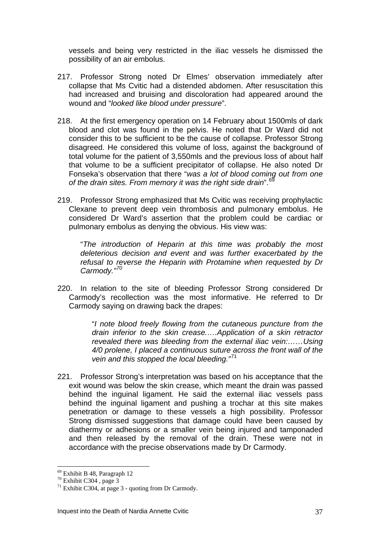vessels and being very restricted in the iliac vessels he dismissed the possibility of an air embolus.

- 217. Professor Strong noted Dr Elmes' observation immediately after collapse that Ms Cvitic had a distended abdomen. After resuscitation this had increased and bruising and discoloration had appeared around the wound and "*looked like blood under pressure*".
- 218. At the first emergency operation on 14 February about 1500mls of dark blood and clot was found in the pelvis. He noted that Dr Ward did not consider this to be sufficient to be the cause of collapse. Professor Strong disagreed. He considered this volume of loss, against the background of total volume for the patient of 3,550mls and the previous loss of about half that volume to be a sufficient precipitator of collapse. He also noted Dr Fonseka's observation that there "*was a lot of blood coming out from one of the drain sites. From memory it was the right side drain*".[69](#page-36-0)
- 219. Professor Strong emphasized that Ms Cvitic was receiving prophylactic Clexane to prevent deep vein thrombosis and pulmonary embolus. He considered Dr Ward's assertion that the problem could be cardiac or pulmonary embolus as denying the obvious. His view was:

"*The introduction of Heparin at this time was probably the most deleterious decision and event and was further exacerbated by the refusal to reverse the Heparin with Protamine when requested by Dr Carmody."[70](#page-36-1)* 

220. In relation to the site of bleeding Professor Strong considered Dr Carmody's recollection was the most informative. He referred to Dr Carmody saying on drawing back the drapes:

> "*I note blood freely flowing from the cutaneous puncture from the drain inferior to the skin crease.….Application of a skin retractor revealed there was bleeding from the external iliac vein:……Using 4/0 prolene, I placed a continuous suture across the front wall of the vein and this stopped the local bleeding."*[71](#page-36-2)

221. Professor Strong's interpretation was based on his acceptance that the exit wound was below the skin crease, which meant the drain was passed behind the inguinal ligament. He said the external iliac vessels pass behind the inguinal ligament and pushing a trochar at this site makes penetration or damage to these vessels a high possibility. Professor Strong dismissed suggestions that damage could have been caused by diathermy or adhesions or a smaller vein being injured and tamponaded and then released by the removal of the drain. These were not in accordance with the precise observations made by Dr Carmody.

<span id="page-36-0"></span><sup>69</sup> Exhibit B 48, Paragraph 12

<span id="page-36-1"></span> $70$  Exhibit C304, page 3

<span id="page-36-2"></span> $71$  Exhibit C304, at page 3 - quoting from Dr Carmody.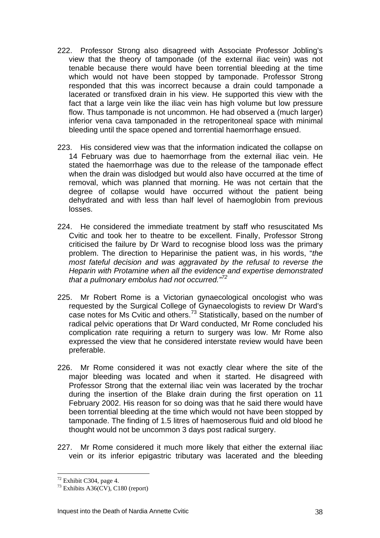- 222. Professor Strong also disagreed with Associate Professor Jobling's view that the theory of tamponade (of the external iliac vein) was not tenable because there would have been torrential bleeding at the time which would not have been stopped by tamponade. Professor Strong responded that this was incorrect because a drain could tamponade a lacerated or transfixed drain in his view. He supported this view with the fact that a large vein like the iliac vein has high volume but low pressure flow. Thus tamponade is not uncommon. He had observed a (much larger) inferior vena cava tamponaded in the retroperitoneal space with minimal bleeding until the space opened and torrential haemorrhage ensued.
- 223. His considered view was that the information indicated the collapse on 14 February was due to haemorrhage from the external iliac vein. He stated the haemorrhage was due to the release of the tamponade effect when the drain was dislodged but would also have occurred at the time of removal, which was planned that morning. He was not certain that the degree of collapse would have occurred without the patient being dehydrated and with less than half level of haemoglobin from previous losses.
- 224. He considered the immediate treatment by staff who resuscitated Ms Cvitic and took her to theatre to be excellent. Finally, Professor Strong criticised the failure by Dr Ward to recognise blood loss was the primary problem. The direction to Heparinise the patient was, in his words, "*the most fateful decision and was aggravated by the refusal to reverse the Heparin with Protamine when all the evidence and expertise demonstrated that a pulmonary embolus had not occurred."[72](#page-37-0)*
- 225. Mr Robert Rome is a Victorian gynaecological oncologist who was requested by the Surgical College of Gynaecologists to review Dr Ward's case notes for Ms Cvitic and others.[73](#page-37-1) Statistically, based on the number of radical pelvic operations that Dr Ward conducted, Mr Rome concluded his complication rate requiring a return to surgery was low. Mr Rome also expressed the view that he considered interstate review would have been preferable.
- 226. Mr Rome considered it was not exactly clear where the site of the major bleeding was located and when it started. He disagreed with Professor Strong that the external iliac vein was lacerated by the trochar during the insertion of the Blake drain during the first operation on 11 February 2002. His reason for so doing was that he said there would have been torrential bleeding at the time which would not have been stopped by tamponade. The finding of 1.5 litres of haemoserous fluid and old blood he thought would not be uncommon 3 days post radical surgery.
- 227. Mr Rome considered it much more likely that either the external iliac vein or its inferior epigastric tributary was lacerated and the bleeding

<span id="page-37-0"></span> $72$  Exhibit C304, page 4.

<span id="page-37-1"></span> $73$  Exhibits A36(CV), C180 (report)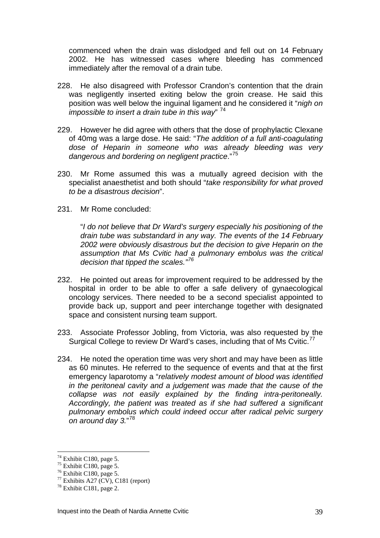commenced when the drain was dislodged and fell out on 14 February 2002. He has witnessed cases where bleeding has commenced immediately after the removal of a drain tube.

- 228. He also disagreed with Professor Crandon's contention that the drain was negligently inserted exiting below the groin crease. He said this position was well below the inguinal ligament and he considered it "*nigh on impossible to insert a drain tube in this way*" [74](#page-38-0)
- 229. However he did agree with others that the dose of prophylactic Clexane of 40mg was a large dose. He said: "*The addition of a full anti-coagulating dose of Heparin in someone who was already bleeding was very dangerous and bordering on negligent practice*."[75](#page-38-1)
- 230. Mr Rome assumed this was a mutually agreed decision with the specialist anaesthetist and both should "*take responsibility for what proved to be a disastrous decision*".
- 231. Mr Rome concluded:

"*I do not believe that Dr Ward's surgery especially his positioning of the drain tube was substandard in any way. The events of the 14 February 2002 were obviously disastrous but the decision to give Heparin on the assumption that Ms Cvitic had a pulmonary embolus was the critical decision that tipped the scales."[76](#page-38-2)*

- 232. He pointed out areas for improvement required to be addressed by the hospital in order to be able to offer a safe delivery of gynaecological oncology services. There needed to be a second specialist appointed to provide back up, support and peer interchange together with designated space and consistent nursing team support.
- 233. Associate Professor Jobling, from Victoria, was also requested by the Surgical College to review Dr Ward's cases, including that of Ms Cvitic.<sup>[77](#page-38-3)</sup>
- 234. He noted the operation time was very short and may have been as little as 60 minutes. He referred to the sequence of events and that at the first emergency laparotomy a "*relatively modest amount of blood was identified in the peritoneal cavity and a judgement was made that the cause of the collapse was not easily explained by the finding intra-peritoneally. Accordingly, the patient was treated as if she had suffered a significant pulmonary embolus which could indeed occur after radical pelvic surgery on around day 3.*" [78](#page-38-4)

 $74$  Exhibit C180, page 5.

<span id="page-38-1"></span><span id="page-38-0"></span> $75$  Exhibit C180, page 5.

<span id="page-38-2"></span> $76$  Exhibit C180, page 5.

<span id="page-38-3"></span> $77$  Exhibits A27 (CV), C181 (report)

<span id="page-38-4"></span> $78$  Exhibit C181, page 2.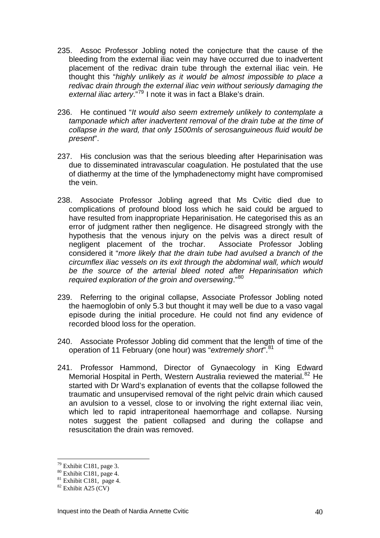- 235. Assoc Professor Jobling noted the conjecture that the cause of the bleeding from the external iliac vein may have occurred due to inadvertent placement of the redivac drain tube through the external iliac vein. He thought this "*highly unlikely as it would be almost impossible to place a redivac drain through the external iliac vein without seriously damaging the external iliac artery*."[79](#page-39-0) I note it was in fact a Blake's drain.
- 236. He continued "*It would also seem extremely unlikely to contemplate a tamponade which after inadvertent removal of the drain tube at the time of collapse in the ward, that only 1500mls of serosanguineous fluid would be present*".
- 237. His conclusion was that the serious bleeding after Heparinisation was due to disseminated intravascular coagulation. He postulated that the use of diathermy at the time of the lymphadenectomy might have compromised the vein.
- 238. Associate Professor Jobling agreed that Ms Cvitic died due to complications of profound blood loss which he said could be argued to have resulted from inappropriate Heparinisation. He categorised this as an error of judgment rather then negligence. He disagreed strongly with the hypothesis that the venous injury on the pelvis was a direct result of negligent placement of the trochar. Associate Professor Jobling considered it "*more likely that the drain tube had avulsed a branch of the circumflex iliac vessels on its exit through the abdominal wall, which would be the source of the arterial bleed noted after Heparinisation which required exploration of the groin and oversewing*."[80](#page-39-1)
- 239. Referring to the original collapse, Associate Professor Jobling noted the haemoglobin of only 5.3 but thought it may well be due to a vaso vagal episode during the initial procedure. He could not find any evidence of recorded blood loss for the operation.
- 240. Associate Professor Jobling did comment that the length of time of the operation of 11 February (one hour) was "*extremely short*".[81](#page-39-2)
- 241. Professor Hammond, Director of Gynaecology in King Edward Memorial Hospital in Perth, Western Australia reviewed the material.<sup>[82](#page-39-3)</sup> He started with Dr Ward's explanation of events that the collapse followed the traumatic and unsupervised removal of the right pelvic drain which caused an avulsion to a vessel, close to or involving the right external iliac vein, which led to rapid intraperitoneal haemorrhage and collapse. Nursing notes suggest the patient collapsed and during the collapse and resuscitation the drain was removed.

 $79$  Exhibit C181, page 3.

<span id="page-39-1"></span><span id="page-39-0"></span> $80$  Exhibit C181, page 4.

<span id="page-39-2"></span> $81$  Exhibit C181, page 4.

<span id="page-39-3"></span> $82$  Exhibit A25 (CV)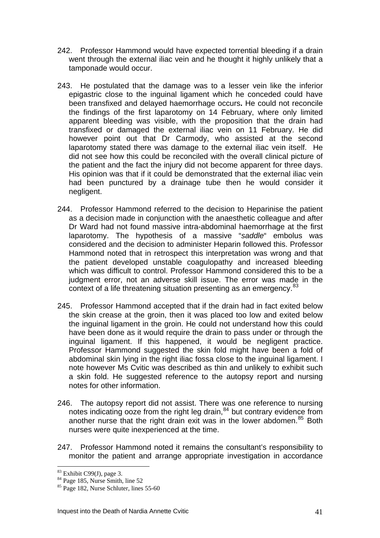- 242. Professor Hammond would have expected torrential bleeding if a drain went through the external iliac vein and he thought it highly unlikely that a tamponade would occur.
- 243. He postulated that the damage was to a lesser vein like the inferior epigastric close to the inguinal ligament which he conceded could have been transfixed and delayed haemorrhage occurs**.** He could not reconcile the findings of the first laparotomy on 14 February, where only limited apparent bleeding was visible, with the proposition that the drain had transfixed or damaged the external iliac vein on 11 February. He did however point out that Dr Carmody, who assisted at the second laparotomy stated there was damage to the external iliac vein itself. He did not see how this could be reconciled with the overall clinical picture of the patient and the fact the injury did not become apparent for three days. His opinion was that if it could be demonstrated that the external iliac vein had been punctured by a drainage tube then he would consider it negligent.
- 244. Professor Hammond referred to the decision to Heparinise the patient as a decision made in conjunction with the anaesthetic colleague and after Dr Ward had not found massive intra-abdominal haemorrhage at the first laparotomy. The hypothesis of a massive "*saddle*" embolus was considered and the decision to administer Heparin followed this. Professor Hammond noted that in retrospect this interpretation was wrong and that the patient developed unstable coagulopathy and increased bleeding which was difficult to control. Professor Hammond considered this to be a judgment error, not an adverse skill issue. The error was made in the context of a life threatening situation presenting as an emergency.<sup>[83](#page-40-0)</sup>
- 245. Professor Hammond accepted that if the drain had in fact exited below the skin crease at the groin, then it was placed too low and exited below the inguinal ligament in the groin. He could not understand how this could have been done as it would require the drain to pass under or through the inguinal ligament. If this happened, it would be negligent practice. Professor Hammond suggested the skin fold might have been a fold of abdominal skin lying in the right iliac fossa close to the inguinal ligament. I note however Ms Cvitic was described as thin and unlikely to exhibit such a skin fold. He suggested reference to the autopsy report and nursing notes for other information.
- 246. The autopsy report did not assist. There was one reference to nursing notes indicating ooze from the right leg drain,<sup>[84](#page-40-1)</sup> but contrary evidence from another nurse that the right drain exit was in the lower abdomen.<sup>[85](#page-40-2)</sup> Both nurses were quite inexperienced at the time.
- 247. Professor Hammond noted it remains the consultant's responsibility to monitor the patient and arrange appropriate investigation in accordance

 $83$  Exhibit C99(J), page 3.

<span id="page-40-1"></span><span id="page-40-0"></span> $84$  Page 185, Nurse Smith, line 52

<span id="page-40-2"></span><sup>85</sup> Page 182, Nurse Schluter, lines 55-60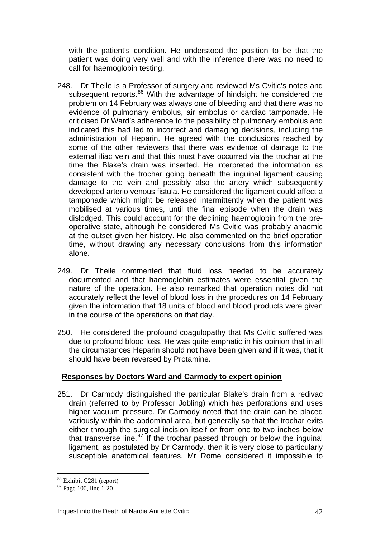with the patient's condition. He understood the position to be that the patient was doing very well and with the inference there was no need to call for haemoglobin testing.

- 248. Dr Theile is a Professor of surgery and reviewed Ms Cvitic's notes and subsequent reports.<sup>[86](#page-41-0)</sup> With the advantage of hindsight he considered the problem on 14 February was always one of bleeding and that there was no evidence of pulmonary embolus, air embolus or cardiac tamponade. He criticised Dr Ward's adherence to the possibility of pulmonary embolus and indicated this had led to incorrect and damaging decisions, including the administration of Heparin. He agreed with the conclusions reached by some of the other reviewers that there was evidence of damage to the external iliac vein and that this must have occurred via the trochar at the time the Blake's drain was inserted. He interpreted the information as consistent with the trochar going beneath the inguinal ligament causing damage to the vein and possibly also the artery which subsequently developed arterio venous fistula. He considered the ligament could affect a tamponade which might be released intermittently when the patient was mobilised at various times, until the final episode when the drain was dislodged. This could account for the declining haemoglobin from the preoperative state, although he considered Ms Cvitic was probably anaemic at the outset given her history. He also commented on the brief operation time, without drawing any necessary conclusions from this information alone.
- 249. Dr Theile commented that fluid loss needed to be accurately documented and that haemoglobin estimates were essential given the nature of the operation. He also remarked that operation notes did not accurately reflect the level of blood loss in the procedures on 14 February given the information that 18 units of blood and blood products were given in the course of the operations on that day.
- 250. He considered the profound coagulopathy that Ms Cvitic suffered was due to profound blood loss. He was quite emphatic in his opinion that in all the circumstances Heparin should not have been given and if it was, that it should have been reversed by Protamine.

#### **Responses by Doctors Ward and Carmody to expert opinion**

251. Dr Carmody distinguished the particular Blake's drain from a redivac drain (referred to by Professor Jobling) which has perforations and uses higher vacuum pressure. Dr Carmody noted that the drain can be placed variously within the abdominal area, but generally so that the trochar exits either through the surgical incision itself or from one to two inches below that transverse line.<sup>[87](#page-41-1)</sup> If the trochar passed through or below the inguinal ligament, as postulated by Dr Carmody, then it is very close to particularly susceptible anatomical features. Mr Rome considered it impossible to

<span id="page-41-0"></span><sup>86</sup> Exhibit C281 (report)

<span id="page-41-1"></span><sup>87</sup> Page 100, line 1-20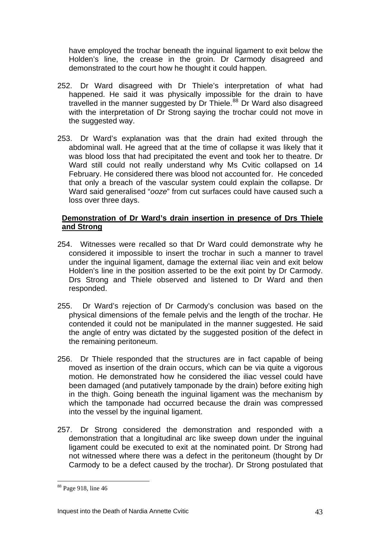have employed the trochar beneath the inguinal ligament to exit below the Holden's line, the crease in the groin. Dr Carmody disagreed and demonstrated to the court how he thought it could happen.

- 252. Dr Ward disagreed with Dr Thiele's interpretation of what had happened. He said it was physically impossible for the drain to have travelled in the manner suggested by Dr Thiele.<sup>[88](#page-42-0)</sup> Dr Ward also disagreed with the interpretation of Dr Strong saying the trochar could not move in the suggested way.
- 253. Dr Ward's explanation was that the drain had exited through the abdominal wall. He agreed that at the time of collapse it was likely that it was blood loss that had precipitated the event and took her to theatre. Dr Ward still could not really understand why Ms Cvitic collapsed on 14 February. He considered there was blood not accounted for. He conceded that only a breach of the vascular system could explain the collapse. Dr Ward said generalised "*ooze*" from cut surfaces could have caused such a loss over three days.

#### **Demonstration of Dr Ward's drain insertion in presence of Drs Thiele and Strong**

- 254. Witnesses were recalled so that Dr Ward could demonstrate why he considered it impossible to insert the trochar in such a manner to travel under the inguinal ligament, damage the external iliac vein and exit below Holden's line in the position asserted to be the exit point by Dr Carmody. Drs Strong and Thiele observed and listened to Dr Ward and then responded.
- 255. Dr Ward's rejection of Dr Carmody's conclusion was based on the physical dimensions of the female pelvis and the length of the trochar. He contended it could not be manipulated in the manner suggested. He said the angle of entry was dictated by the suggested position of the defect in the remaining peritoneum.
- 256. Dr Thiele responded that the structures are in fact capable of being moved as insertion of the drain occurs, which can be via quite a vigorous motion. He demonstrated how he considered the iliac vessel could have been damaged (and putatively tamponade by the drain) before exiting high in the thigh. Going beneath the inguinal ligament was the mechanism by which the tamponade had occurred because the drain was compressed into the vessel by the inguinal ligament.
- 257. Dr Strong considered the demonstration and responded with a demonstration that a longitudinal arc like sweep down under the inguinal ligament could be executed to exit at the nominated point. Dr Strong had not witnessed where there was a defect in the peritoneum (thought by Dr Carmody to be a defect caused by the trochar). Dr Strong postulated that

<span id="page-42-0"></span><sup>88</sup> Page 918, line 46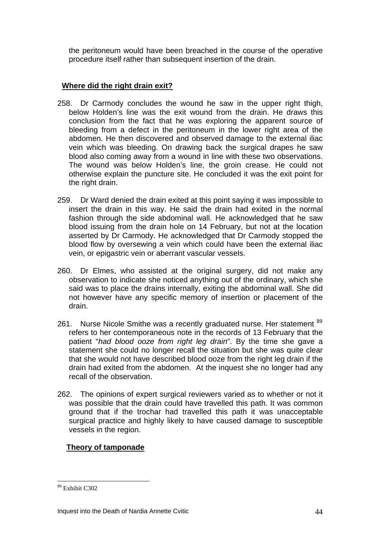the peritoneum would have been breached in the course of the operative procedure itself rather than subsequent insertion of the drain.

#### **Where did the right drain exit?**

- 258. Dr Carmody concludes the wound he saw in the upper right thigh, below Holden's line was the exit wound from the drain. He draws this conclusion from the fact that he was exploring the apparent source of bleeding from a defect in the peritoneum in the lower right area of the abdomen. He then discovered and observed damage to the external iliac vein which was bleeding. On drawing back the surgical drapes he saw blood also coming away from a wound in line with these two observations. The wound was below Holden's line, the groin crease. He could not otherwise explain the puncture site. He concluded it was the exit point for the right drain.
- 259. Dr Ward denied the drain exited at this point saying it was impossible to insert the drain in this way. He said the drain had exited in the normal fashion through the side abdominal wall. He acknowledged that he saw blood issuing from the drain hole on 14 February, but not at the location asserted by Dr Carmody. He acknowledged that Dr Carmody stopped the blood flow by oversewing a vein which could have been the external iliac vein, or epigastric vein or aberrant vascular vessels.
- 260. Dr Elmes, who assisted at the original surgery, did not make any observation to indicate she noticed anything out of the ordinary, which she said was to place the drains internally, exiting the abdominal wall. She did not however have any specific memory of insertion or placement of the drain.
- 261. Nurse Nicole Smithe was a recently graduated nurse. Her statement <sup>[89](#page-43-0)</sup> refers to her contemporaneous note in the records of 13 February that the patient "*had blood ooze from right leg drain*". By the time she gave a statement she could no longer recall the situation but she was quite clear that she would not have described blood ooze from the right leg drain if the drain had exited from the abdomen. At the inquest she no longer had any recall of the observation.
- 262. The opinions of expert surgical reviewers varied as to whether or not it was possible that the drain could have travelled this path. It was common ground that if the trochar had travelled this path it was unacceptable surgical practice and highly likely to have caused damage to susceptible vessels in the region.

### **Theory of tamponade**

<span id="page-43-0"></span><sup>89</sup> Exhibit C302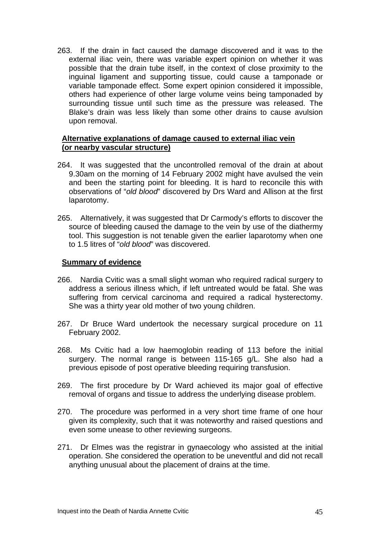263. If the drain in fact caused the damage discovered and it was to the external iliac vein, there was variable expert opinion on whether it was possible that the drain tube itself, in the context of close proximity to the inguinal ligament and supporting tissue, could cause a tamponade or variable tamponade effect. Some expert opinion considered it impossible, others had experience of other large volume veins being tamponaded by surrounding tissue until such time as the pressure was released. The Blake's drain was less likely than some other drains to cause avulsion upon removal.

#### **Alternative explanations of damage caused to external iliac vein (or nearby vascular structure)**

- 264. It was suggested that the uncontrolled removal of the drain at about 9.30am on the morning of 14 February 2002 might have avulsed the vein and been the starting point for bleeding. It is hard to reconcile this with observations of "*old blood*" discovered by Drs Ward and Allison at the first laparotomy.
- 265. Alternatively, it was suggested that Dr Carmody's efforts to discover the source of bleeding caused the damage to the vein by use of the diathermy tool. This suggestion is not tenable given the earlier laparotomy when one to 1.5 litres of "*old blood*" was discovered.

#### **Summary of evidence**

- 266. Nardia Cvitic was a small slight woman who required radical surgery to address a serious illness which, if left untreated would be fatal. She was suffering from cervical carcinoma and required a radical hysterectomy. She was a thirty year old mother of two young children.
- 267. Dr Bruce Ward undertook the necessary surgical procedure on 11 February 2002.
- 268. Ms Cvitic had a low haemoglobin reading of 113 before the initial surgery. The normal range is between 115-165 g/L. She also had a previous episode of post operative bleeding requiring transfusion.
- 269. The first procedure by Dr Ward achieved its major goal of effective removal of organs and tissue to address the underlying disease problem.
- 270. The procedure was performed in a very short time frame of one hour given its complexity, such that it was noteworthy and raised questions and even some unease to other reviewing surgeons.
- 271. Dr Elmes was the registrar in gynaecology who assisted at the initial operation. She considered the operation to be uneventful and did not recall anything unusual about the placement of drains at the time.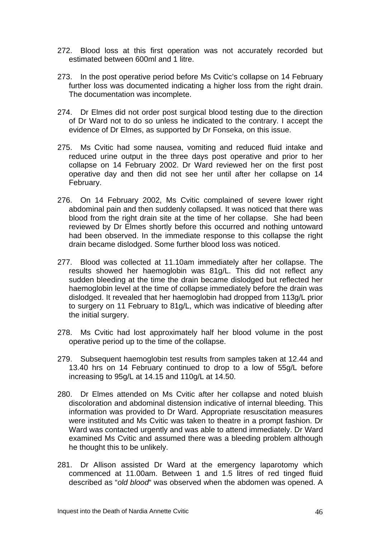- 272. Blood loss at this first operation was not accurately recorded but estimated between 600ml and 1 litre.
- 273. In the post operative period before Ms Cvitic's collapse on 14 February further loss was documented indicating a higher loss from the right drain. The documentation was incomplete.
- 274. Dr Elmes did not order post surgical blood testing due to the direction of Dr Ward not to do so unless he indicated to the contrary. I accept the evidence of Dr Elmes, as supported by Dr Fonseka, on this issue.
- 275. Ms Cvitic had some nausea, vomiting and reduced fluid intake and reduced urine output in the three days post operative and prior to her collapse on 14 February 2002. Dr Ward reviewed her on the first post operative day and then did not see her until after her collapse on 14 February.
- 276. On 14 February 2002, Ms Cvitic complained of severe lower right abdominal pain and then suddenly collapsed. It was noticed that there was blood from the right drain site at the time of her collapse. She had been reviewed by Dr Elmes shortly before this occurred and nothing untoward had been observed. In the immediate response to this collapse the right drain became dislodged. Some further blood loss was noticed.
- 277. Blood was collected at 11.10am immediately after her collapse. The results showed her haemoglobin was 81g/L. This did not reflect any sudden bleeding at the time the drain became dislodged but reflected her haemoglobin level at the time of collapse immediately before the drain was dislodged. It revealed that her haemoglobin had dropped from 113g/L prior to surgery on 11 February to 81g/L, which was indicative of bleeding after the initial surgery.
- 278. Ms Cvitic had lost approximately half her blood volume in the post operative period up to the time of the collapse.
- 279. Subsequent haemoglobin test results from samples taken at 12.44 and 13.40 hrs on 14 February continued to drop to a low of 55g/L before increasing to 95g/L at 14.15 and 110g/L at 14.50.
- 280. Dr Elmes attended on Ms Cvitic after her collapse and noted bluish discoloration and abdominal distension indicative of internal bleeding. This information was provided to Dr Ward. Appropriate resuscitation measures were instituted and Ms Cvitic was taken to theatre in a prompt fashion. Dr Ward was contacted urgently and was able to attend immediately. Dr Ward examined Ms Cvitic and assumed there was a bleeding problem although he thought this to be unlikely.
- 281. Dr Allison assisted Dr Ward at the emergency laparotomy which commenced at 11.00am. Between 1 and 1.5 litres of red tinged fluid described as "*old blood*" was observed when the abdomen was opened. A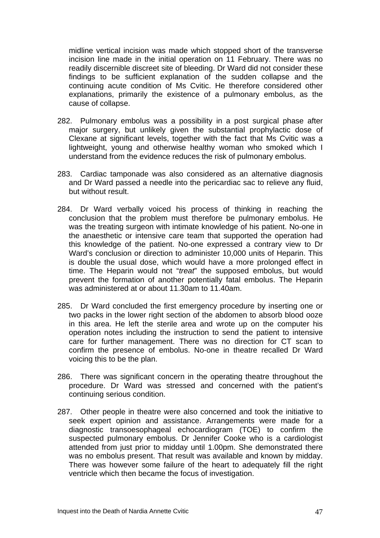midline vertical incision was made which stopped short of the transverse incision line made in the initial operation on 11 February. There was no readily discernible discreet site of bleeding. Dr Ward did not consider these findings to be sufficient explanation of the sudden collapse and the continuing acute condition of Ms Cvitic. He therefore considered other explanations, primarily the existence of a pulmonary embolus, as the cause of collapse.

- 282. Pulmonary embolus was a possibility in a post surgical phase after major surgery, but unlikely given the substantial prophylactic dose of Clexane at significant levels, together with the fact that Ms Cvitic was a lightweight, young and otherwise healthy woman who smoked which I understand from the evidence reduces the risk of pulmonary embolus.
- 283. Cardiac tamponade was also considered as an alternative diagnosis and Dr Ward passed a needle into the pericardiac sac to relieve any fluid, but without result.
- 284. Dr Ward verbally voiced his process of thinking in reaching the conclusion that the problem must therefore be pulmonary embolus. He was the treating surgeon with intimate knowledge of his patient. No-one in the anaesthetic or intensive care team that supported the operation had this knowledge of the patient. No-one expressed a contrary view to Dr Ward's conclusion or direction to administer 10,000 units of Heparin. This is double the usual dose, which would have a more prolonged effect in time. The Heparin would not "*treat*" the supposed embolus, but would prevent the formation of another potentially fatal embolus. The Heparin was administered at or about 11.30am to 11.40am.
- 285. Dr Ward concluded the first emergency procedure by inserting one or two packs in the lower right section of the abdomen to absorb blood ooze in this area. He left the sterile area and wrote up on the computer his operation notes including the instruction to send the patient to intensive care for further management. There was no direction for CT scan to confirm the presence of embolus. No-one in theatre recalled Dr Ward voicing this to be the plan.
- 286. There was significant concern in the operating theatre throughout the procedure. Dr Ward was stressed and concerned with the patient's continuing serious condition.
- 287. Other people in theatre were also concerned and took the initiative to seek expert opinion and assistance. Arrangements were made for a diagnostic transoesophageal echocardiogram (TOE) to confirm the suspected pulmonary embolus. Dr Jennifer Cooke who is a cardiologist attended from just prior to midday until 1.00pm. She demonstrated there was no embolus present. That result was available and known by midday. There was however some failure of the heart to adequately fill the right ventricle which then became the focus of investigation.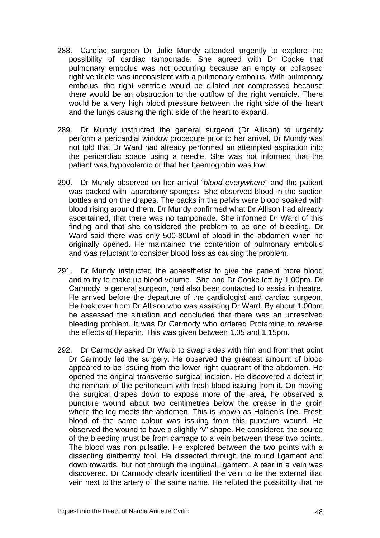- 288. Cardiac surgeon Dr Julie Mundy attended urgently to explore the possibility of cardiac tamponade. She agreed with Dr Cooke that pulmonary embolus was not occurring because an empty or collapsed right ventricle was inconsistent with a pulmonary embolus. With pulmonary embolus, the right ventricle would be dilated not compressed because there would be an obstruction to the outflow of the right ventricle. There would be a very high blood pressure between the right side of the heart and the lungs causing the right side of the heart to expand.
- 289. Dr Mundy instructed the general surgeon (Dr Allison) to urgently perform a pericardial window procedure prior to her arrival. Dr Mundy was not told that Dr Ward had already performed an attempted aspiration into the pericardiac space using a needle. She was not informed that the patient was hypovolemic or that her haemoglobin was low.
- 290. Dr Mundy observed on her arrival "*blood everywhere*" and the patient was packed with laparotomy sponges. She observed blood in the suction bottles and on the drapes. The packs in the pelvis were blood soaked with blood rising around them. Dr Mundy confirmed what Dr Allison had already ascertained, that there was no tamponade. She informed Dr Ward of this finding and that she considered the problem to be one of bleeding. Dr Ward said there was only 500-800ml of blood in the abdomen when he originally opened. He maintained the contention of pulmonary embolus and was reluctant to consider blood loss as causing the problem.
- 291. Dr Mundy instructed the anaesthetist to give the patient more blood and to try to make up blood volume. She and Dr Cooke left by 1.00pm. Dr Carmody, a general surgeon, had also been contacted to assist in theatre. He arrived before the departure of the cardiologist and cardiac surgeon. He took over from Dr Allison who was assisting Dr Ward. By about 1.00pm he assessed the situation and concluded that there was an unresolved bleeding problem. It was Dr Carmody who ordered Protamine to reverse the effects of Heparin. This was given between 1.05 and 1.15pm.
- 292. Dr Carmody asked Dr Ward to swap sides with him and from that point Dr Carmody led the surgery. He observed the greatest amount of blood appeared to be issuing from the lower right quadrant of the abdomen. He opened the original transverse surgical incision. He discovered a defect in the remnant of the peritoneum with fresh blood issuing from it. On moving the surgical drapes down to expose more of the area, he observed a puncture wound about two centimetres below the crease in the groin where the leg meets the abdomen. This is known as Holden's line. Fresh blood of the same colour was issuing from this puncture wound. He observed the wound to have a slightly 'V' shape. He considered the source of the bleeding must be from damage to a vein between these two points. The blood was non pulsatile. He explored between the two points with a dissecting diathermy tool. He dissected through the round ligament and down towards, but not through the inguinal ligament. A tear in a vein was discovered. Dr Carmody clearly identified the vein to be the external iliac vein next to the artery of the same name. He refuted the possibility that he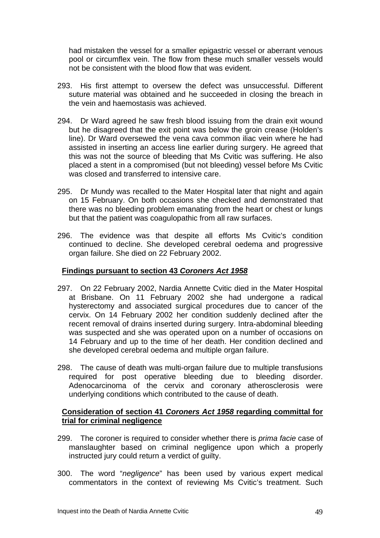had mistaken the vessel for a smaller epigastric vessel or aberrant venous pool or circumflex vein. The flow from these much smaller vessels would not be consistent with the blood flow that was evident.

- 293. His first attempt to oversew the defect was unsuccessful. Different suture material was obtained and he succeeded in closing the breach in the vein and haemostasis was achieved.
- 294. Dr Ward agreed he saw fresh blood issuing from the drain exit wound but he disagreed that the exit point was below the groin crease (Holden's line). Dr Ward oversewed the vena cava common iliac vein where he had assisted in inserting an access line earlier during surgery. He agreed that this was not the source of bleeding that Ms Cvitic was suffering. He also placed a stent in a compromised (but not bleeding) vessel before Ms Cvitic was closed and transferred to intensive care.
- 295. Dr Mundy was recalled to the Mater Hospital later that night and again on 15 February. On both occasions she checked and demonstrated that there was no bleeding problem emanating from the heart or chest or lungs but that the patient was coagulopathic from all raw surfaces.
- 296. The evidence was that despite all efforts Ms Cvitic's condition continued to decline. She developed cerebral oedema and progressive organ failure. She died on 22 February 2002.

#### **Findings pursuant to section 43** *Coroners Act 1958*

- 297. On 22 February 2002, Nardia Annette Cvitic died in the Mater Hospital at Brisbane. On 11 February 2002 she had undergone a radical hysterectomy and associated surgical procedures due to cancer of the cervix. On 14 February 2002 her condition suddenly declined after the recent removal of drains inserted during surgery. Intra-abdominal bleeding was suspected and she was operated upon on a number of occasions on 14 February and up to the time of her death. Her condition declined and she developed cerebral oedema and multiple organ failure.
- 298. The cause of death was multi-organ failure due to multiple transfusions required for post operative bleeding due to bleeding disorder. Adenocarcinoma of the cervix and coronary atherosclerosis were underlying conditions which contributed to the cause of death.

#### **Consideration of section 41** *Coroners Act 1958* **regarding committal for trial for criminal negligence**

- 299. The coroner is required to consider whether there is *prima facie* case of manslaughter based on criminal negligence upon which a properly instructed jury could return a verdict of guilty.
- 300. The word "*negligence*" has been used by various expert medical commentators in the context of reviewing Ms Cvitic's treatment. Such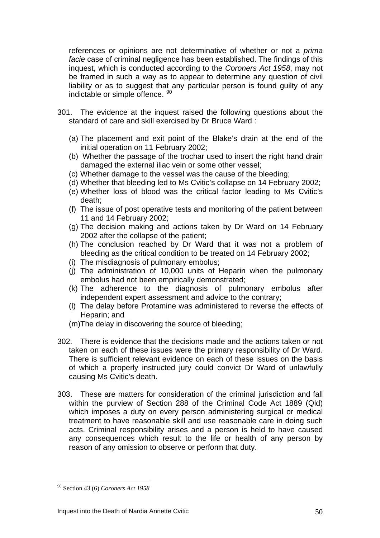references or opinions are not determinative of whether or not a *prima facie* case of criminal negligence has been established. The findings of this inquest, which is conducted according to the *Coroners Act 1958*, may not be framed in such a way as to appear to determine any question of civil liability or as to suggest that any particular person is found guilty of any indictable or simple offence. [90](#page-49-0)

- 301. The evidence at the inquest raised the following questions about the standard of care and skill exercised by Dr Bruce Ward :
	- (a) The placement and exit point of the Blake's drain at the end of the initial operation on 11 February 2002;
	- (b) Whether the passage of the trochar used to insert the right hand drain damaged the external iliac vein or some other vessel;
	- (c) Whether damage to the vessel was the cause of the bleeding;
	- (d) Whether that bleeding led to Ms Cvitic's collapse on 14 February 2002;
	- (e) Whether loss of blood was the critical factor leading to Ms Cvitic's death;
	- (f) The issue of post operative tests and monitoring of the patient between 11 and 14 February 2002;
	- (g) The decision making and actions taken by Dr Ward on 14 February 2002 after the collapse of the patient;
	- (h) The conclusion reached by Dr Ward that it was not a problem of bleeding as the critical condition to be treated on 14 February 2002;
	- (i) The misdiagnosis of pulmonary embolus;
	- (j) The administration of 10,000 units of Heparin when the pulmonary embolus had not been empirically demonstrated;
	- (k) The adherence to the diagnosis of pulmonary embolus after independent expert assessment and advice to the contrary;
	- (l) The delay before Protamine was administered to reverse the effects of Heparin; and
	- (m)The delay in discovering the source of bleeding;
- 302. There is evidence that the decisions made and the actions taken or not taken on each of these issues were the primary responsibility of Dr Ward. There is sufficient relevant evidence on each of these issues on the basis of which a properly instructed jury could convict Dr Ward of unlawfully causing Ms Cvitic's death.
- 303. These are matters for consideration of the criminal jurisdiction and fall within the purview of Section 288 of the Criminal Code Act 1889 (Qld) which imposes a duty on every person administering surgical or medical treatment to have reasonable skill and use reasonable care in doing such acts. Criminal responsibility arises and a person is held to have caused any consequences which result to the life or health of any person by reason of any omission to observe or perform that duty.

<span id="page-49-0"></span><sup>90</sup> Section 43 (6) *Coroners Act 1958*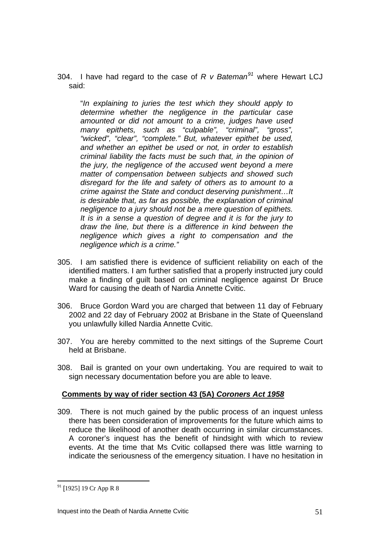304. I have had regard to the case of *R v Bateman[91](#page-50-0)* where Hewart LCJ said:

"*In explaining to juries the test which they should apply to determine whether the negligence in the particular case amounted or did not amount to a crime, judges have used many epithets, such as "culpable", "criminal", "gross", "wicked", "clear", "complete." But, whatever epithet be used, and whether an epithet be used or not, in order to establish criminal liability the facts must be such that, in the opinion of the jury, the negligence of the accused went beyond a mere matter of compensation between subjects and showed such disregard for the life and safety of others as to amount to a crime against the State and conduct deserving punishment…It is desirable that, as far as possible, the explanation of criminal negligence to a jury should not be a mere question of epithets. It is in a sense a question of degree and it is for the jury to draw the line, but there is a difference in kind between the negligence which gives a right to compensation and the negligence which is a crime."* 

- 305. I am satisfied there is evidence of sufficient reliability on each of the identified matters. I am further satisfied that a properly instructed jury could make a finding of guilt based on criminal negligence against Dr Bruce Ward for causing the death of Nardia Annette Cvitic.
- 306. Bruce Gordon Ward you are charged that between 11 day of February 2002 and 22 day of February 2002 at Brisbane in the State of Queensland you unlawfully killed Nardia Annette Cvitic.
- 307. You are hereby committed to the next sittings of the Supreme Court held at Brisbane.
- 308. Bail is granted on your own undertaking. You are required to wait to sign necessary documentation before you are able to leave.

### **Comments by way of rider section 43 (5A)** *Coroners Act 1958*

309. There is not much gained by the public process of an inquest unless there has been consideration of improvements for the future which aims to reduce the likelihood of another death occurring in similar circumstances. A coroner's inquest has the benefit of hindsight with which to review events. At the time that Ms Cvitic collapsed there was little warning to indicate the seriousness of the emergency situation. I have no hesitation in

<span id="page-50-0"></span><sup>91</sup> [1925] 19 Cr App R 8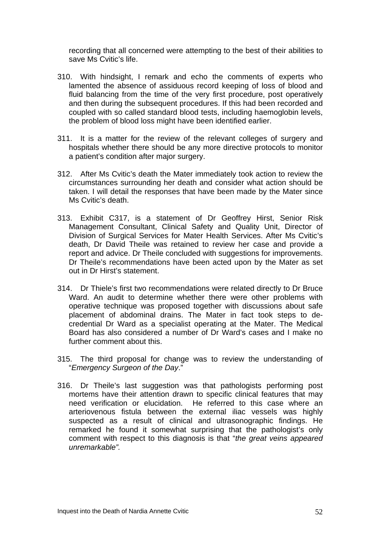recording that all concerned were attempting to the best of their abilities to save Ms Cvitic's life.

- 310. With hindsight, I remark and echo the comments of experts who lamented the absence of assiduous record keeping of loss of blood and fluid balancing from the time of the very first procedure, post operatively and then during the subsequent procedures. If this had been recorded and coupled with so called standard blood tests, including haemoglobin levels, the problem of blood loss might have been identified earlier.
- 311. It is a matter for the review of the relevant colleges of surgery and hospitals whether there should be any more directive protocols to monitor a patient's condition after major surgery.
- 312. After Ms Cvitic's death the Mater immediately took action to review the circumstances surrounding her death and consider what action should be taken. I will detail the responses that have been made by the Mater since Ms Cvitic's death.
- 313. Exhibit C317, is a statement of Dr Geoffrey Hirst, Senior Risk Management Consultant, Clinical Safety and Quality Unit, Director of Division of Surgical Services for Mater Health Services. After Ms Cvitic's death, Dr David Theile was retained to review her case and provide a report and advice. Dr Theile concluded with suggestions for improvements. Dr Theile's recommendations have been acted upon by the Mater as set out in Dr Hirst's statement.
- 314. Dr Thiele's first two recommendations were related directly to Dr Bruce Ward. An audit to determine whether there were other problems with operative technique was proposed together with discussions about safe placement of abdominal drains. The Mater in fact took steps to decredential Dr Ward as a specialist operating at the Mater. The Medical Board has also considered a number of Dr Ward's cases and I make no further comment about this.
- 315. The third proposal for change was to review the understanding of "*Emergency Surgeon of the Day*."
- 316. Dr Theile's last suggestion was that pathologists performing post mortems have their attention drawn to specific clinical features that may need verification or elucidation. He referred to this case where an arteriovenous fistula between the external iliac vessels was highly suspected as a result of clinical and ultrasonographic findings. He remarked he found it somewhat surprising that the pathologist's only comment with respect to this diagnosis is that "*the great veins appeared unremarkable".*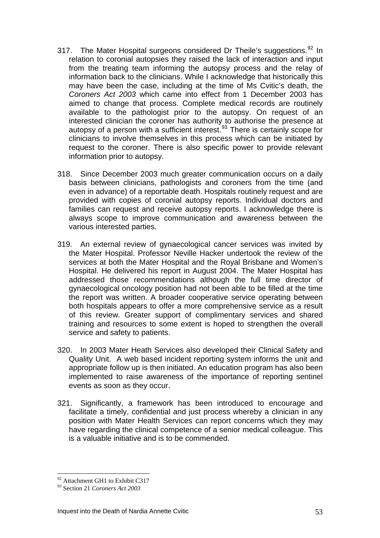- 317. The Mater Hospital surgeons considered Dr Theile's suggestions.<sup>[92](#page-52-0)</sup> In relation to coronial autopsies they raised the lack of interaction and input from the treating team informing the autopsy process and the relay of information back to the clinicians. While I acknowledge that historically this may have been the case, including at the time of Ms Cvitic's death, the *Coroners Act 2003* which came into effect from 1 December 2003 has aimed to change that process. Complete medical records are routinely available to the pathologist prior to the autopsy. On request of an interested clinician the coroner has authority to authorise the presence at autopsy of a person with a sufficient interest.<sup>[93](#page-52-1)</sup> There is certainly scope for clinicians to involve themselves in this process which can be initiated by request to the coroner. There is also specific power to provide relevant information prior to autopsy.
- 318. Since December 2003 much greater communication occurs on a daily basis between clinicians, pathologists and coroners from the time (and even in advance) of a reportable death. Hospitals routinely request and are provided with copies of coronial autopsy reports. Individual doctors and families can request and receive autopsy reports. I acknowledge there is always scope to improve communication and awareness between the various interested parties.
- 319. An external review of gynaecological cancer services was invited by the Mater Hospital. Professor Neville Hacker undertook the review of the services at both the Mater Hospital and the Royal Brisbane and Women's Hospital. He delivered his report in August 2004. The Mater Hospital has addressed those recommendations although the full time director of gynaecological oncology position had not been able to be filled at the time the report was written. A broader cooperative service operating between both hospitals appears to offer a more comprehensive service as a result of this review. Greater support of complimentary services and shared training and resources to some extent is hoped to strengthen the overall service and safety to patients.
- 320. In 2003 Mater Heath Services also developed their Clinical Safety and Quality Unit. A web based incident reporting system informs the unit and appropriate follow up is then initiated. An education program has also been implemented to raise awareness of the importance of reporting sentinel events as soon as they occur.
- 321. Significantly, a framework has been introduced to encourage and facilitate a timely, confidential and just process whereby a clinician in any position with Mater Health Services can report concerns which they may have regarding the clinical competence of a senior medical colleague. This is a valuable initiative and is to be commended.

 $\overline{a}$ <sup>92</sup> Attachment GH1 to Exhibit C317

<span id="page-52-1"></span><span id="page-52-0"></span><sup>93</sup> Section 21 *Coroners Act 2003*